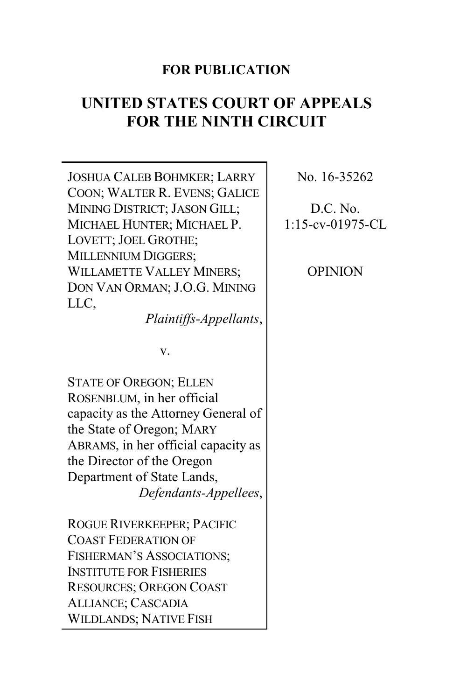# **FOR PUBLICATION**

# **UNITED STATES COURT OF APPEALS FOR THE NINTH CIRCUIT**

JOSHUA CALEB BOHMKER; LARRY COON; WALTER R. EVENS; GALICE MINING DISTRICT; JASON GILL; MICHAEL HUNTER; MICHAEL P. LOVETT; JOEL GROTHE; MILLENNIUM DIGGERS; WILLAMETTE VALLEY MINERS; DON VAN ORMAN; J.O.G. MINING LLC,

*Plaintiffs-Appellants*,

v.

STATE OF OREGON; ELLEN ROSENBLUM, in her official capacity as the Attorney General of the State of Oregon; MARY ABRAMS, in her official capacity as the Director of the Oregon Department of State Lands, *Defendants-Appellees*,

ROGUE RIVERKEEPER; PACIFIC COAST FEDERATION OF FISHERMAN'S ASSOCIATIONS; INSTITUTE FOR FISHERIES RESOURCES; OREGON COAST ALLIANCE; CASCADIA WILDLANDS; NATIVE FISH

No. 16-35262

# D.C. No. 1:15-cv-01975-CL

OPINION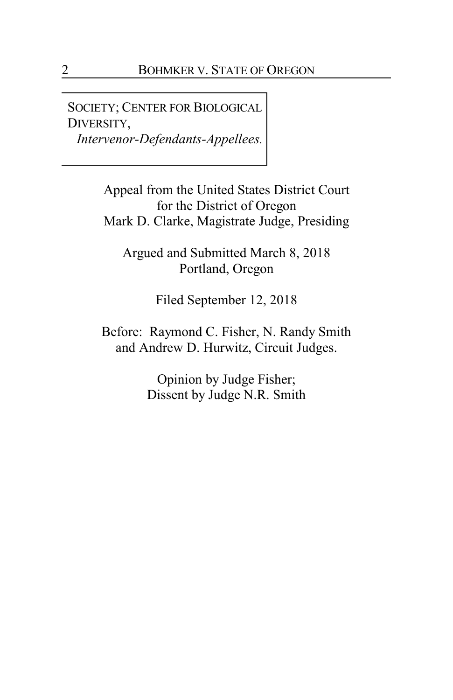SOCIETY; CENTER FOR BIOLOGICAL DIVERSITY, *Intervenor-Defendants-Appellees.*

> Appeal from the United States District Court for the District of Oregon Mark D. Clarke, Magistrate Judge, Presiding

Argued and Submitted March 8, 2018 Portland, Oregon

Filed September 12, 2018

Before: Raymond C. Fisher, N. Randy Smith and Andrew D. Hurwitz, Circuit Judges.

> Opinion by Judge Fisher; Dissent by Judge N.R. Smith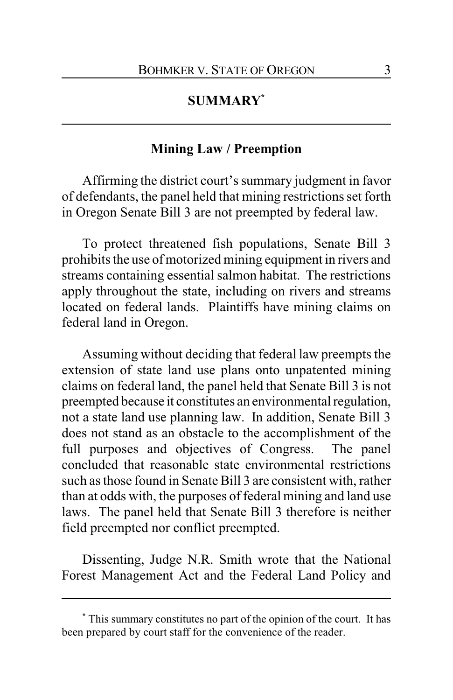# **SUMMARY\***

### **Mining Law / Preemption**

Affirming the district court's summary judgment in favor of defendants, the panel held that mining restrictions set forth in Oregon Senate Bill 3 are not preempted by federal law.

To protect threatened fish populations, Senate Bill 3 prohibits the use of motorized mining equipment in rivers and streams containing essential salmon habitat. The restrictions apply throughout the state, including on rivers and streams located on federal lands. Plaintiffs have mining claims on federal land in Oregon.

Assuming without deciding that federal law preempts the extension of state land use plans onto unpatented mining claims on federal land, the panel held that Senate Bill 3 is not preempted because it constitutes an environmental regulation, not a state land use planning law. In addition, Senate Bill 3 does not stand as an obstacle to the accomplishment of the full purposes and objectives of Congress. The panel concluded that reasonable state environmental restrictions such as those found in Senate Bill 3 are consistent with, rather than at odds with, the purposes of federal mining and land use laws. The panel held that Senate Bill 3 therefore is neither field preempted nor conflict preempted.

Dissenting, Judge N.R. Smith wrote that the National Forest Management Act and the Federal Land Policy and

**<sup>\*</sup>** This summary constitutes no part of the opinion of the court. It has been prepared by court staff for the convenience of the reader.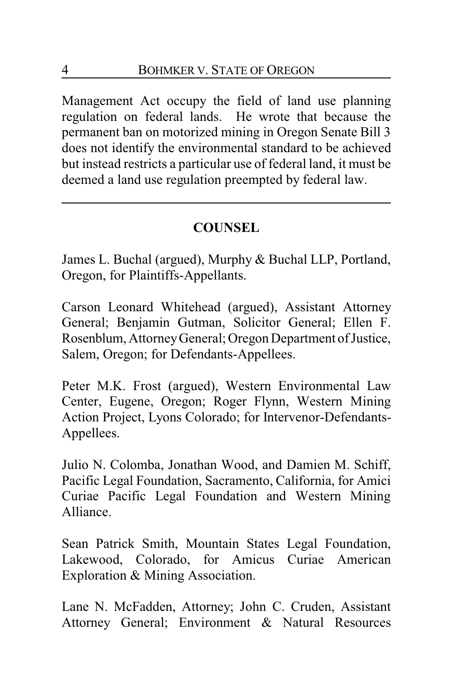Management Act occupy the field of land use planning regulation on federal lands. He wrote that because the permanent ban on motorized mining in Oregon Senate Bill 3 does not identify the environmental standard to be achieved but instead restricts a particular use of federal land, it must be deemed a land use regulation preempted by federal law.

# **COUNSEL**

James L. Buchal (argued), Murphy & Buchal LLP, Portland, Oregon, for Plaintiffs-Appellants.

Carson Leonard Whitehead (argued), Assistant Attorney General; Benjamin Gutman, Solicitor General; Ellen F. Rosenblum, Attorney General; Oregon Department of Justice, Salem, Oregon; for Defendants-Appellees.

Peter M.K. Frost (argued), Western Environmental Law Center, Eugene, Oregon; Roger Flynn, Western Mining Action Project, Lyons Colorado; for Intervenor-Defendants-Appellees.

Julio N. Colomba, Jonathan Wood, and Damien M. Schiff, Pacific Legal Foundation, Sacramento, California, for Amici Curiae Pacific Legal Foundation and Western Mining Alliance.

Sean Patrick Smith, Mountain States Legal Foundation, Lakewood, Colorado, for Amicus Curiae American Exploration & Mining Association.

Lane N. McFadden, Attorney; John C. Cruden, Assistant Attorney General; Environment & Natural Resources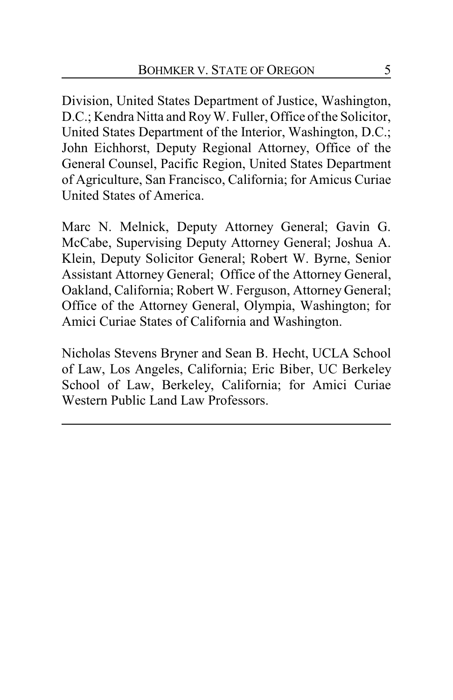Division, United States Department of Justice, Washington, D.C.; Kendra Nitta and Roy W. Fuller, Office of the Solicitor, United States Department of the Interior, Washington, D.C.; John Eichhorst, Deputy Regional Attorney, Office of the General Counsel, Pacific Region, United States Department of Agriculture, San Francisco, California; for Amicus Curiae United States of America.

Marc N. Melnick, Deputy Attorney General; Gavin G. McCabe, Supervising Deputy Attorney General; Joshua A. Klein, Deputy Solicitor General; Robert W. Byrne, Senior Assistant Attorney General; Office of the Attorney General, Oakland, California; Robert W. Ferguson, Attorney General; Office of the Attorney General, Olympia, Washington; for Amici Curiae States of California and Washington.

Nicholas Stevens Bryner and Sean B. Hecht, UCLA School of Law, Los Angeles, California; Eric Biber, UC Berkeley School of Law, Berkeley, California; for Amici Curiae Western Public Land Law Professors.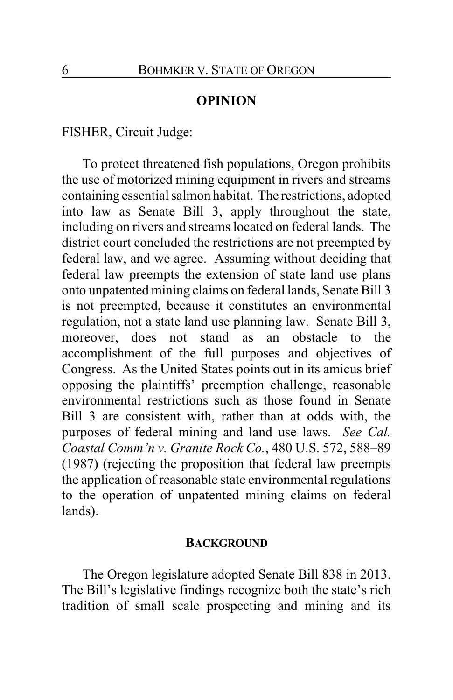### **OPINION**

FISHER, Circuit Judge:

To protect threatened fish populations, Oregon prohibits the use of motorized mining equipment in rivers and streams containing essential salmon habitat. The restrictions, adopted into law as Senate Bill 3, apply throughout the state, including on rivers and streams located on federal lands. The district court concluded the restrictions are not preempted by federal law, and we agree. Assuming without deciding that federal law preempts the extension of state land use plans onto unpatented mining claims on federal lands, Senate Bill 3 is not preempted, because it constitutes an environmental regulation, not a state land use planning law. Senate Bill 3, moreover, does not stand as an obstacle to the accomplishment of the full purposes and objectives of Congress. As the United States points out in its amicus brief opposing the plaintiffs' preemption challenge, reasonable environmental restrictions such as those found in Senate Bill 3 are consistent with, rather than at odds with, the purposes of federal mining and land use laws. *See Cal. Coastal Comm'n v. Granite Rock Co.*, 480 U.S. 572, 588–89 (1987) (rejecting the proposition that federal law preempts the application of reasonable state environmental regulations to the operation of unpatented mining claims on federal lands).

#### **BACKGROUND**

The Oregon legislature adopted Senate Bill 838 in 2013. The Bill's legislative findings recognize both the state's rich tradition of small scale prospecting and mining and its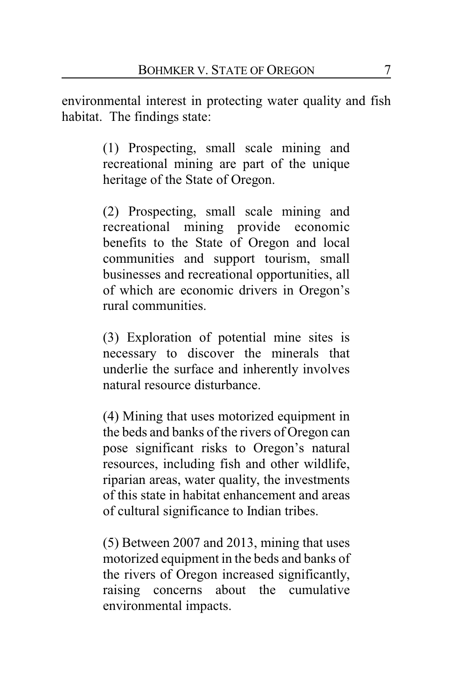environmental interest in protecting water quality and fish habitat. The findings state:

> (1) Prospecting, small scale mining and recreational mining are part of the unique heritage of the State of Oregon.

> (2) Prospecting, small scale mining and recreational mining provide economic benefits to the State of Oregon and local communities and support tourism, small businesses and recreational opportunities, all of which are economic drivers in Oregon's rural communities.

> (3) Exploration of potential mine sites is necessary to discover the minerals that underlie the surface and inherently involves natural resource disturbance.

> (4) Mining that uses motorized equipment in the beds and banks of the rivers of Oregon can pose significant risks to Oregon's natural resources, including fish and other wildlife, riparian areas, water quality, the investments of this state in habitat enhancement and areas of cultural significance to Indian tribes.

> (5) Between 2007 and 2013, mining that uses motorized equipment in the beds and banks of the rivers of Oregon increased significantly, raising concerns about the cumulative environmental impacts.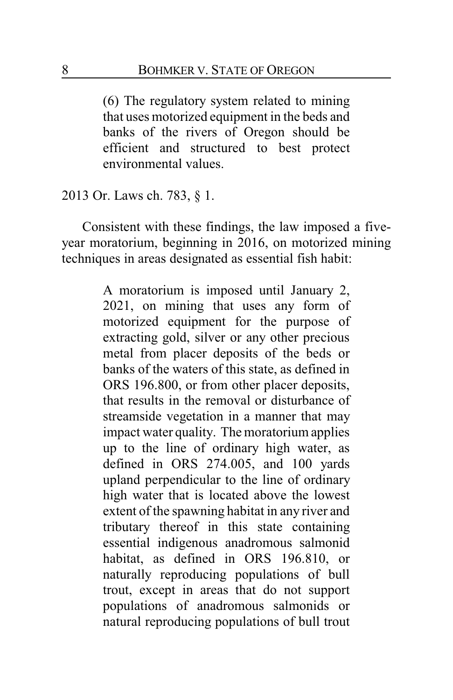(6) The regulatory system related to mining that uses motorized equipment in the beds and banks of the rivers of Oregon should be efficient and structured to best protect environmental values.

2013 Or. Laws ch. 783, § 1.

Consistent with these findings, the law imposed a fiveyear moratorium, beginning in 2016, on motorized mining techniques in areas designated as essential fish habit:

> A moratorium is imposed until January 2, 2021, on mining that uses any form of motorized equipment for the purpose of extracting gold, silver or any other precious metal from placer deposits of the beds or banks of the waters of this state, as defined in ORS 196.800, or from other placer deposits, that results in the removal or disturbance of streamside vegetation in a manner that may impact water quality. The moratorium applies up to the line of ordinary high water, as defined in ORS 274.005, and 100 yards upland perpendicular to the line of ordinary high water that is located above the lowest extent of the spawning habitat in any river and tributary thereof in this state containing essential indigenous anadromous salmonid habitat, as defined in ORS 196.810, or naturally reproducing populations of bull trout, except in areas that do not support populations of anadromous salmonids or natural reproducing populations of bull trout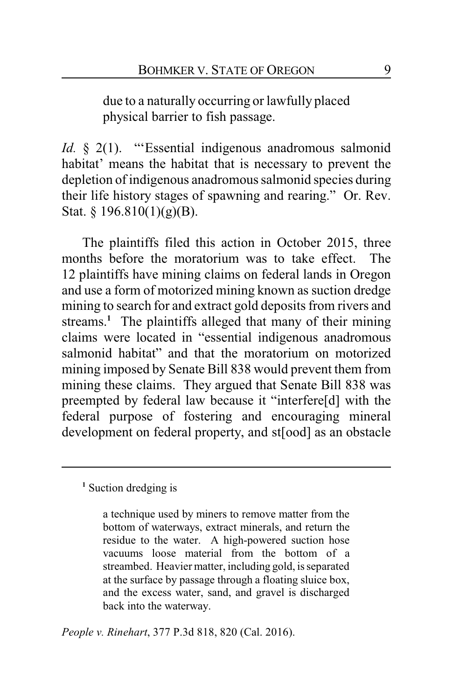due to a naturally occurring or lawfully placed physical barrier to fish passage.

*Id.* § 2(1). "Essential indigenous anadromous salmonid habitat' means the habitat that is necessary to prevent the depletion of indigenous anadromous salmonid species during their life history stages of spawning and rearing." Or. Rev. Stat.  $\frac{196.810(1)(g)(B)}{B}$ .

The plaintiffs filed this action in October 2015, three months before the moratorium was to take effect. The 12 plaintiffs have mining claims on federal lands in Oregon and use a form of motorized mining known as suction dredge mining to search for and extract gold deposits from rivers and streams.<sup>1</sup> The plaintiffs alleged that many of their mining claims were located in "essential indigenous anadromous salmonid habitat" and that the moratorium on motorized mining imposed by Senate Bill 838 would prevent them from mining these claims. They argued that Senate Bill 838 was preempted by federal law because it "interfere[d] with the federal purpose of fostering and encouraging mineral development on federal property, and st[ood] as an obstacle

<sup>1</sup> Suction dredging is

a technique used by miners to remove matter from the bottom of waterways, extract minerals, and return the residue to the water. A high-powered suction hose vacuums loose material from the bottom of a streambed. Heavier matter, including gold, is separated at the surface by passage through a floating sluice box, and the excess water, sand, and gravel is discharged back into the waterway.

*People v. Rinehart*, 377 P.3d 818, 820 (Cal. 2016).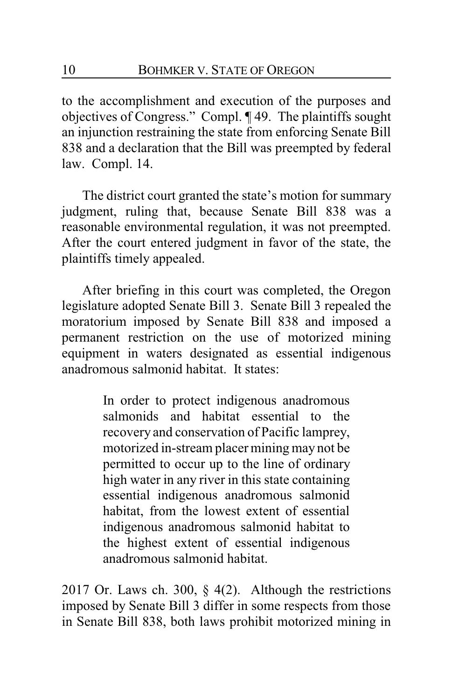to the accomplishment and execution of the purposes and objectives of Congress." Compl. ¶ 49. The plaintiffs sought an injunction restraining the state from enforcing Senate Bill 838 and a declaration that the Bill was preempted by federal law. Compl. 14.

The district court granted the state's motion for summary judgment, ruling that, because Senate Bill 838 was a reasonable environmental regulation, it was not preempted. After the court entered judgment in favor of the state, the plaintiffs timely appealed.

After briefing in this court was completed, the Oregon legislature adopted Senate Bill 3. Senate Bill 3 repealed the moratorium imposed by Senate Bill 838 and imposed a permanent restriction on the use of motorized mining equipment in waters designated as essential indigenous anadromous salmonid habitat. It states:

> In order to protect indigenous anadromous salmonids and habitat essential to the recovery and conservation of Pacific lamprey, motorized in-stream placer mining may not be permitted to occur up to the line of ordinary high water in any river in this state containing essential indigenous anadromous salmonid habitat, from the lowest extent of essential indigenous anadromous salmonid habitat to the highest extent of essential indigenous anadromous salmonid habitat.

2017 Or. Laws ch. 300, § 4(2). Although the restrictions imposed by Senate Bill 3 differ in some respects from those in Senate Bill 838, both laws prohibit motorized mining in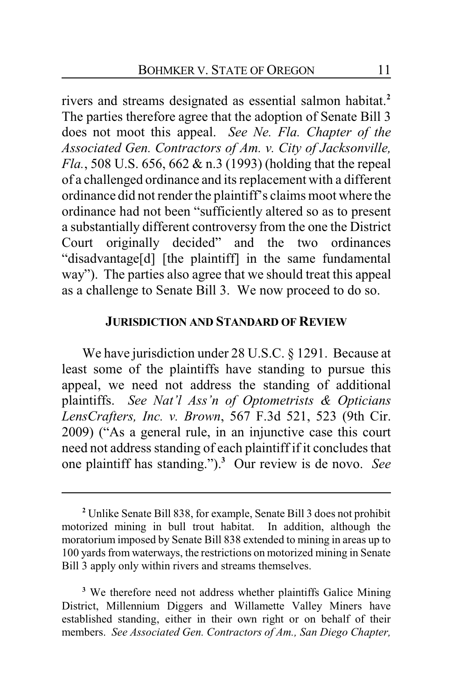rivers and streams designated as essential salmon habitat.**<sup>2</sup>** The parties therefore agree that the adoption of Senate Bill 3 does not moot this appeal. *See Ne. Fla. Chapter of the Associated Gen. Contractors of Am. v. City of Jacksonville, Fla.*, 508 U.S. 656, 662 & n.3 (1993) (holding that the repeal of a challenged ordinance and its replacement with a different ordinance did not render the plaintiff's claims moot where the ordinance had not been "sufficiently altered so as to present a substantially different controversy from the one the District Court originally decided" and the two ordinances "disadvantage[d] [the plaintiff] in the same fundamental way"). The parties also agree that we should treat this appeal as a challenge to Senate Bill 3. We now proceed to do so.

### **JURISDICTION AND STANDARD OF REVIEW**

We have jurisdiction under 28 U.S.C. § 1291. Because at least some of the plaintiffs have standing to pursue this appeal, we need not address the standing of additional plaintiffs. *See Nat'l Ass'n of Optometrists & Opticians LensCrafters, Inc. v. Brown*, 567 F.3d 521, 523 (9th Cir. 2009) ("As a general rule, in an injunctive case this court need not address standing of each plaintiff if it concludes that one plaintiff has standing.").**<sup>3</sup>** Our review is de novo. *See*

**<sup>2</sup>** Unlike Senate Bill 838, for example, Senate Bill 3 does not prohibit motorized mining in bull trout habitat. In addition, although the moratorium imposed by Senate Bill 838 extended to mining in areas up to 100 yards from waterways, the restrictions on motorized mining in Senate Bill 3 apply only within rivers and streams themselves.

**<sup>3</sup>** We therefore need not address whether plaintiffs Galice Mining District, Millennium Diggers and Willamette Valley Miners have established standing, either in their own right or on behalf of their members. *See Associated Gen. Contractors of Am., San Diego Chapter,*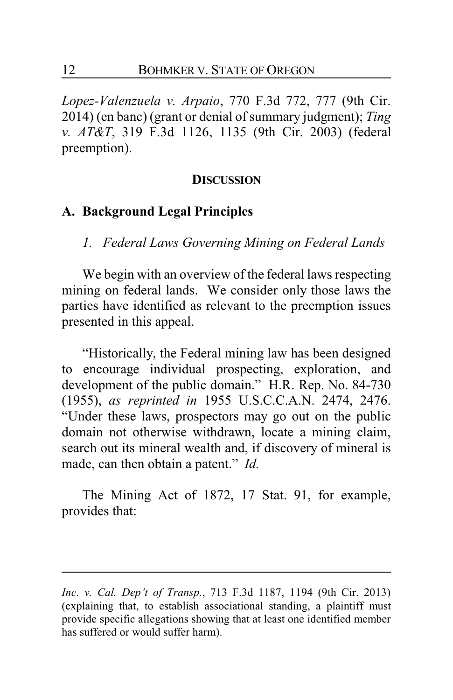*Lopez-Valenzuela v. Arpaio*, 770 F.3d 772, 777 (9th Cir. 2014) (en banc) (grant or denial of summary judgment); *Ting v. AT&T*, 319 F.3d 1126, 1135 (9th Cir. 2003) (federal preemption).

#### **DISCUSSION**

### **A. Background Legal Principles**

*1. Federal Laws Governing Mining on Federal Lands*

We begin with an overview of the federal laws respecting mining on federal lands. We consider only those laws the parties have identified as relevant to the preemption issues presented in this appeal.

"Historically, the Federal mining law has been designed to encourage individual prospecting, exploration, and development of the public domain." H.R. Rep. No. 84-730 (1955), *as reprinted in* 1955 U.S.C.C.A.N. 2474, 2476. "Under these laws, prospectors may go out on the public domain not otherwise withdrawn, locate a mining claim, search out its mineral wealth and, if discovery of mineral is made, can then obtain a patent." *Id.*

The Mining Act of 1872, 17 Stat. 91, for example, provides that:

*Inc. v. Cal. Dep't of Transp.*, 713 F.3d 1187, 1194 (9th Cir. 2013) (explaining that, to establish associational standing, a plaintiff must provide specific allegations showing that at least one identified member has suffered or would suffer harm).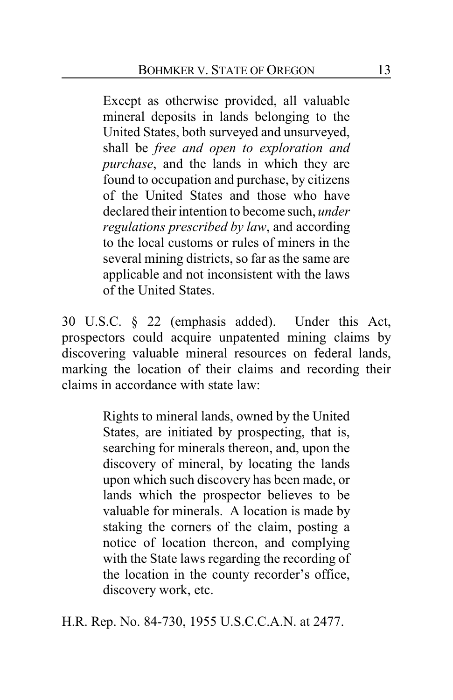Except as otherwise provided, all valuable mineral deposits in lands belonging to the United States, both surveyed and unsurveyed, shall be *free and open to exploration and purchase*, and the lands in which they are found to occupation and purchase, by citizens of the United States and those who have declared their intention to become such, *under regulations prescribed by law*, and according to the local customs or rules of miners in the several mining districts, so far as the same are applicable and not inconsistent with the laws of the United States.

30 U.S.C. § 22 (emphasis added). Under this Act, prospectors could acquire unpatented mining claims by discovering valuable mineral resources on federal lands, marking the location of their claims and recording their claims in accordance with state law:

> Rights to mineral lands, owned by the United States, are initiated by prospecting, that is, searching for minerals thereon, and, upon the discovery of mineral, by locating the lands upon which such discovery has been made, or lands which the prospector believes to be valuable for minerals. A location is made by staking the corners of the claim, posting a notice of location thereon, and complying with the State laws regarding the recording of the location in the county recorder's office, discovery work, etc.

H.R. Rep. No. 84-730, 1955 U.S.C.C.A.N. at 2477.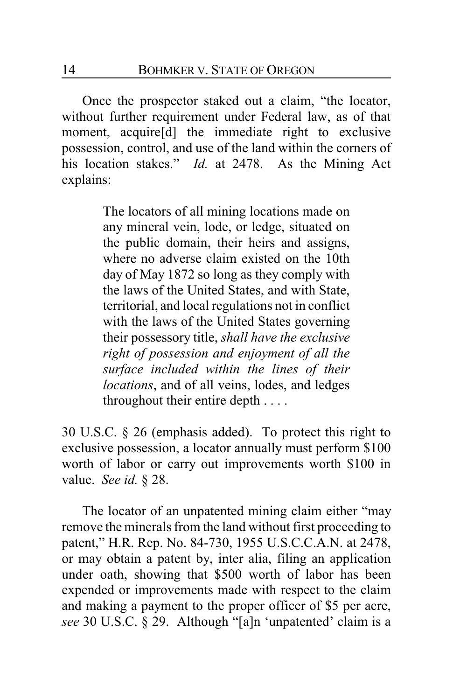Once the prospector staked out a claim, "the locator, without further requirement under Federal law, as of that moment, acquire[d] the immediate right to exclusive possession, control, and use of the land within the corners of his location stakes." *Id.* at 2478. As the Mining Act explains:

> The locators of all mining locations made on any mineral vein, lode, or ledge, situated on the public domain, their heirs and assigns, where no adverse claim existed on the 10th day of May 1872 so long as they comply with the laws of the United States, and with State, territorial, and local regulations not in conflict with the laws of the United States governing their possessory title, *shall have the exclusive right of possession and enjoyment of all the surface included within the lines of their locations*, and of all veins, lodes, and ledges throughout their entire depth . . . .

30 U.S.C. § 26 (emphasis added). To protect this right to exclusive possession, a locator annually must perform \$100 worth of labor or carry out improvements worth \$100 in value. *See id.* § 28.

The locator of an unpatented mining claim either "may remove the minerals from the land without first proceeding to patent," H.R. Rep. No. 84-730, 1955 U.S.C.C.A.N. at 2478, or may obtain a patent by, inter alia, filing an application under oath, showing that \$500 worth of labor has been expended or improvements made with respect to the claim and making a payment to the proper officer of \$5 per acre, *see* 30 U.S.C. § 29. Although "[a]n 'unpatented' claim is a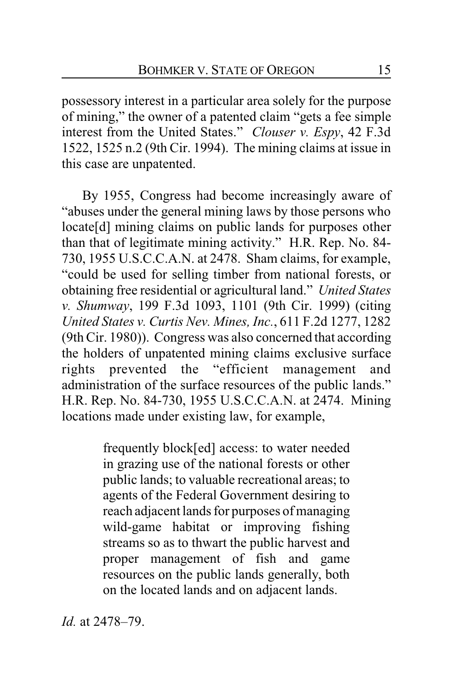possessory interest in a particular area solely for the purpose of mining," the owner of a patented claim "gets a fee simple interest from the United States." *Clouser v. Espy*, 42 F.3d 1522, 1525 n.2 (9th Cir. 1994). The mining claims at issue in this case are unpatented.

By 1955, Congress had become increasingly aware of "abuses under the general mining laws by those persons who locate[d] mining claims on public lands for purposes other than that of legitimate mining activity." H.R. Rep. No. 84- 730, 1955 U.S.C.C.A.N. at 2478. Sham claims, for example, "could be used for selling timber from national forests, or obtaining free residential or agricultural land." *United States v. Shumway*, 199 F.3d 1093, 1101 (9th Cir. 1999) (citing *United States v. Curtis Nev. Mines, Inc.*, 611 F.2d 1277, 1282 (9th Cir. 1980)). Congress was also concerned that according the holders of unpatented mining claims exclusive surface rights prevented the "efficient management and administration of the surface resources of the public lands." H.R. Rep. No. 84-730, 1955 U.S.C.C.A.N. at 2474. Mining locations made under existing law, for example,

> frequently block[ed] access: to water needed in grazing use of the national forests or other public lands; to valuable recreational areas; to agents of the Federal Government desiring to reach adjacent lands for purposes of managing wild-game habitat or improving fishing streams so as to thwart the public harvest and proper management of fish and game resources on the public lands generally, both on the located lands and on adjacent lands.

*Id.* at 2478–79.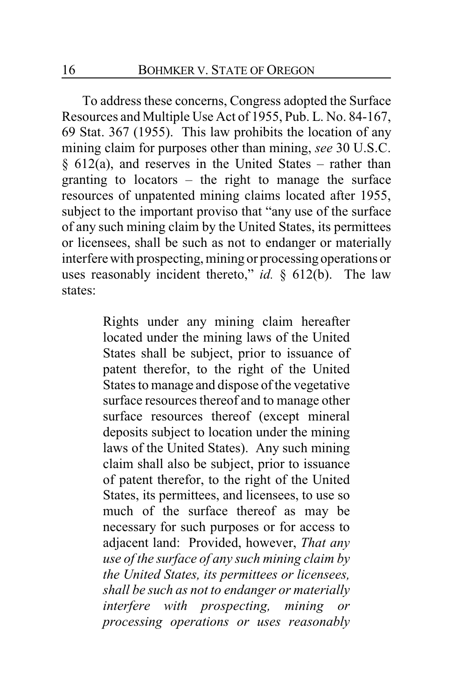To address these concerns, Congress adopted the Surface Resources and Multiple Use Act of 1955, Pub. L. No. 84-167, 69 Stat. 367 (1955). This law prohibits the location of any mining claim for purposes other than mining, *see* 30 U.S.C.  $§ 612(a)$ , and reserves in the United States – rather than granting to locators – the right to manage the surface resources of unpatented mining claims located after 1955, subject to the important proviso that "any use of the surface of any such mining claim by the United States, its permittees or licensees, shall be such as not to endanger or materially interfere with prospecting, mining or processing operations or uses reasonably incident thereto," *id.* § 612(b). The law states:

> Rights under any mining claim hereafter located under the mining laws of the United States shall be subject, prior to issuance of patent therefor, to the right of the United States to manage and dispose of the vegetative surface resources thereof and to manage other surface resources thereof (except mineral deposits subject to location under the mining laws of the United States). Any such mining claim shall also be subject, prior to issuance of patent therefor, to the right of the United States, its permittees, and licensees, to use so much of the surface thereof as may be necessary for such purposes or for access to adjacent land: Provided, however, *That any use of the surface of any such mining claim by the United States, its permittees or licensees, shall be such as not to endanger or materially interfere with prospecting, mining or processing operations or uses reasonably*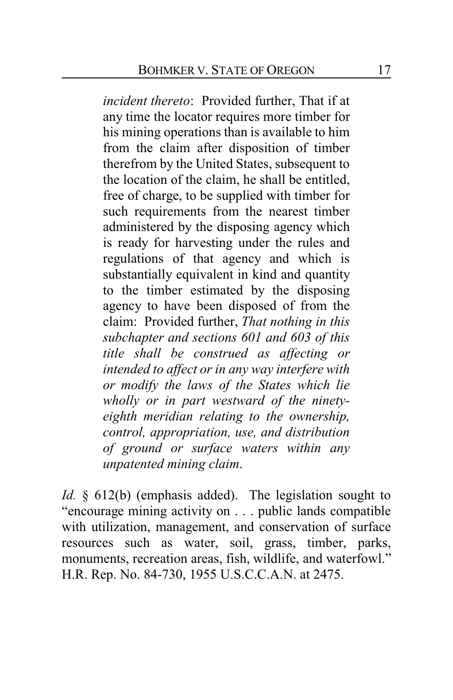*incident thereto*: Provided further, That if at any time the locator requires more timber for his mining operations than is available to him from the claim after disposition of timber therefrom by the United States, subsequent to the location of the claim, he shall be entitled, free of charge, to be supplied with timber for such requirements from the nearest timber administered by the disposing agency which is ready for harvesting under the rules and regulations of that agency and which is substantially equivalent in kind and quantity to the timber estimated by the disposing agency to have been disposed of from the claim: Provided further, *That nothing in this subchapter and sections 601 and 603 of this title shall be construed as affecting or intended to affect or in any way interfere with or modify the laws of the States which lie wholly or in part westward of the ninetyeighth meridian relating to the ownership, control, appropriation, use, and distribution of ground or surface waters within any unpatented mining claim*.

*Id.* § 612(b) (emphasis added). The legislation sought to "encourage mining activity on . . . public lands compatible with utilization, management, and conservation of surface resources such as water, soil, grass, timber, parks, monuments, recreation areas, fish, wildlife, and waterfowl." H.R. Rep. No. 84-730, 1955 U.S.C.C.A.N. at 2475.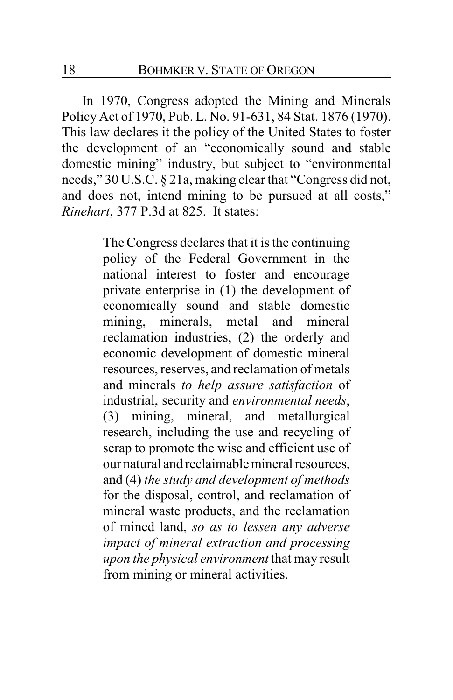In 1970, Congress adopted the Mining and Minerals Policy Act of 1970, Pub. L. No. 91-631, 84 Stat. 1876 (1970). This law declares it the policy of the United States to foster the development of an "economically sound and stable domestic mining" industry, but subject to "environmental needs," 30 U.S.C. § 21a, making clear that "Congress did not, and does not, intend mining to be pursued at all costs," *Rinehart*, 377 P.3d at 825. It states:

> The Congress declares that it is the continuing policy of the Federal Government in the national interest to foster and encourage private enterprise in (1) the development of economically sound and stable domestic mining, minerals, metal and mineral reclamation industries, (2) the orderly and economic development of domestic mineral resources, reserves, and reclamation of metals and minerals *to help assure satisfaction* of industrial, security and *environmental needs*, (3) mining, mineral, and metallurgical research, including the use and recycling of scrap to promote the wise and efficient use of our natural and reclaimable mineral resources, and (4) *the study and development of methods* for the disposal, control, and reclamation of mineral waste products, and the reclamation of mined land, *so as to lessen any adverse impact of mineral extraction and processing upon the physical environment* that may result from mining or mineral activities.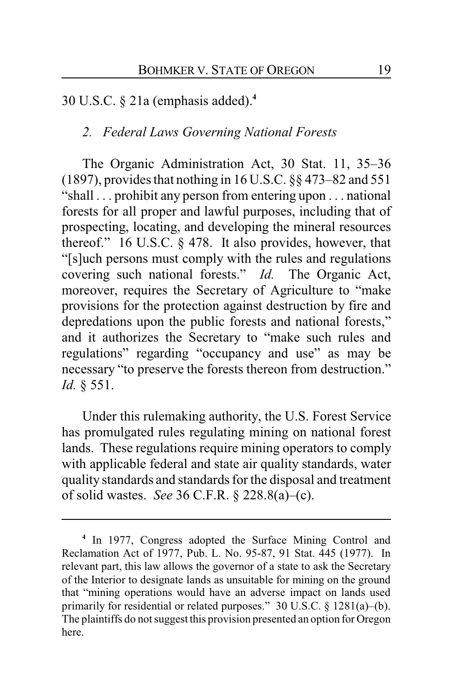30 U.S.C. § 21a (emphasis added).**<sup>4</sup>**

### *2. Federal Laws Governing National Forests*

The Organic Administration Act, 30 Stat. 11, 35–36 (1897), provides that nothing in 16 U.S.C. §§ 473–82 and 551 "shall . . . prohibit any person from entering upon . . . national forests for all proper and lawful purposes, including that of prospecting, locating, and developing the mineral resources thereof." 16 U.S.C. § 478. It also provides, however, that "[s]uch persons must comply with the rules and regulations covering such national forests." *Id.* The Organic Act, moreover, requires the Secretary of Agriculture to "make provisions for the protection against destruction by fire and depredations upon the public forests and national forests," and it authorizes the Secretary to "make such rules and regulations" regarding "occupancy and use" as may be necessary "to preserve the forests thereon from destruction." *Id.* § 551.

Under this rulemaking authority, the U.S. Forest Service has promulgated rules regulating mining on national forest lands. These regulations require mining operators to comply with applicable federal and state air quality standards, water quality standards and standards for the disposal and treatment of solid wastes. *See* 36 C.F.R. § 228.8(a)–(c).

**<sup>4</sup>** In 1977, Congress adopted the Surface Mining Control and Reclamation Act of 1977, Pub. L. No. 95-87, 91 Stat. 445 (1977). In relevant part, this law allows the governor of a state to ask the Secretary of the Interior to designate lands as unsuitable for mining on the ground that "mining operations would have an adverse impact on lands used primarily for residential or related purposes." 30 U.S.C. § 1281(a)–(b). The plaintiffs do not suggest this provision presented an option for Oregon here.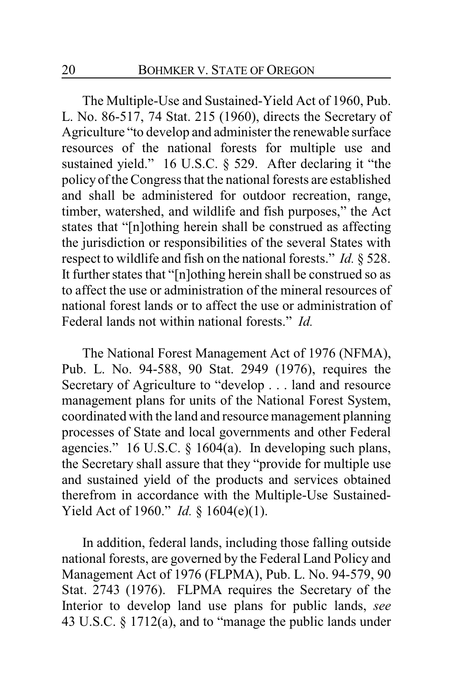The Multiple-Use and Sustained-Yield Act of 1960, Pub. L. No. 86-517, 74 Stat. 215 (1960), directs the Secretary of Agriculture "to develop and administer the renewable surface resources of the national forests for multiple use and sustained yield." 16 U.S.C. § 529. After declaring it "the policy of the Congress that the national forests are established and shall be administered for outdoor recreation, range, timber, watershed, and wildlife and fish purposes," the Act states that "[n]othing herein shall be construed as affecting the jurisdiction or responsibilities of the several States with respect to wildlife and fish on the national forests." *Id.* § 528. It further states that "[n]othing herein shall be construed so as to affect the use or administration of the mineral resources of national forest lands or to affect the use or administration of Federal lands not within national forests." *Id.*

The National Forest Management Act of 1976 (NFMA), Pub. L. No. 94-588, 90 Stat. 2949 (1976), requires the Secretary of Agriculture to "develop . . . land and resource management plans for units of the National Forest System, coordinated with the land and resource management planning processes of State and local governments and other Federal agencies." 16 U.S.C. § 1604(a). In developing such plans, the Secretary shall assure that they "provide for multiple use and sustained yield of the products and services obtained therefrom in accordance with the Multiple-Use Sustained-Yield Act of 1960." *Id.* § 1604(e)(1).

In addition, federal lands, including those falling outside national forests, are governed by the Federal Land Policy and Management Act of 1976 (FLPMA), Pub. L. No. 94-579, 90 Stat. 2743 (1976). FLPMA requires the Secretary of the Interior to develop land use plans for public lands, *see* 43 U.S.C. § 1712(a), and to "manage the public lands under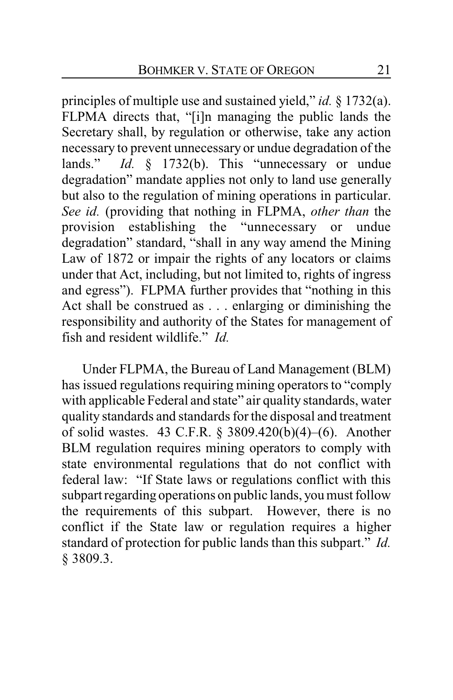principles of multiple use and sustained yield," *id.* § 1732(a). FLPMA directs that, "[i]n managing the public lands the Secretary shall, by regulation or otherwise, take any action necessary to prevent unnecessary or undue degradation of the lands." *Id.* § 1732(b). This "unnecessary or undue degradation" mandate applies not only to land use generally but also to the regulation of mining operations in particular. *See id.* (providing that nothing in FLPMA, *other than* the provision establishing the "unnecessary or undue degradation" standard, "shall in any way amend the Mining Law of 1872 or impair the rights of any locators or claims under that Act, including, but not limited to, rights of ingress and egress"). FLPMA further provides that "nothing in this Act shall be construed as . . . enlarging or diminishing the responsibility and authority of the States for management of fish and resident wildlife." *Id.*

Under FLPMA, the Bureau of Land Management (BLM) has issued regulations requiring mining operators to "comply with applicable Federal and state" air quality standards, water quality standards and standards for the disposal and treatment of solid wastes. 43 C.F.R. § 3809.420(b)(4)–(6). Another BLM regulation requires mining operators to comply with state environmental regulations that do not conflict with federal law: "If State laws or regulations conflict with this subpart regarding operations on public lands, you must follow the requirements of this subpart. However, there is no conflict if the State law or regulation requires a higher standard of protection for public lands than this subpart." *Id.* § 3809.3.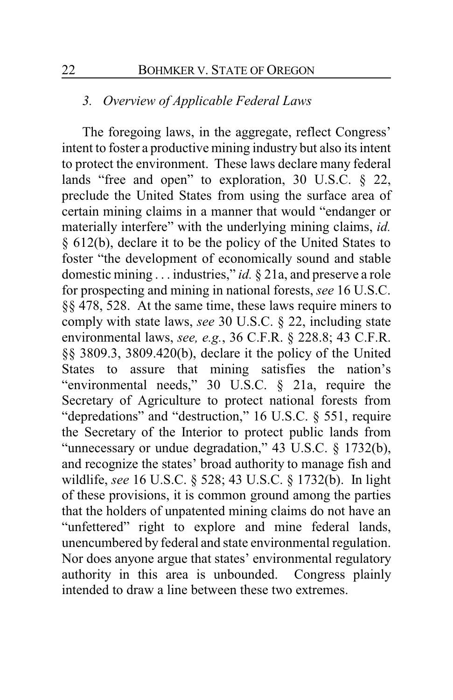### *3. Overview of Applicable Federal Laws*

The foregoing laws, in the aggregate, reflect Congress' intent to foster a productive mining industry but also its intent to protect the environment. These laws declare many federal lands "free and open" to exploration, 30 U.S.C. § 22, preclude the United States from using the surface area of certain mining claims in a manner that would "endanger or materially interfere" with the underlying mining claims, *id.* § 612(b), declare it to be the policy of the United States to foster "the development of economically sound and stable domestic mining . . . industries," *id.* § 21a, and preserve a role for prospecting and mining in national forests, *see* 16 U.S.C. §§ 478, 528. At the same time, these laws require miners to comply with state laws, *see* 30 U.S.C. § 22, including state environmental laws, *see, e.g.*, 36 C.F.R. § 228.8; 43 C.F.R. §§ 3809.3, 3809.420(b), declare it the policy of the United States to assure that mining satisfies the nation's "environmental needs," 30 U.S.C. § 21a, require the Secretary of Agriculture to protect national forests from "depredations" and "destruction," 16 U.S.C. § 551, require the Secretary of the Interior to protect public lands from "unnecessary or undue degradation," 43 U.S.C. § 1732(b), and recognize the states' broad authority to manage fish and wildlife, *see* 16 U.S.C. § 528; 43 U.S.C. § 1732(b). In light of these provisions, it is common ground among the parties that the holders of unpatented mining claims do not have an "unfettered" right to explore and mine federal lands, unencumbered by federal and state environmental regulation. Nor does anyone argue that states' environmental regulatory authority in this area is unbounded. Congress plainly intended to draw a line between these two extremes.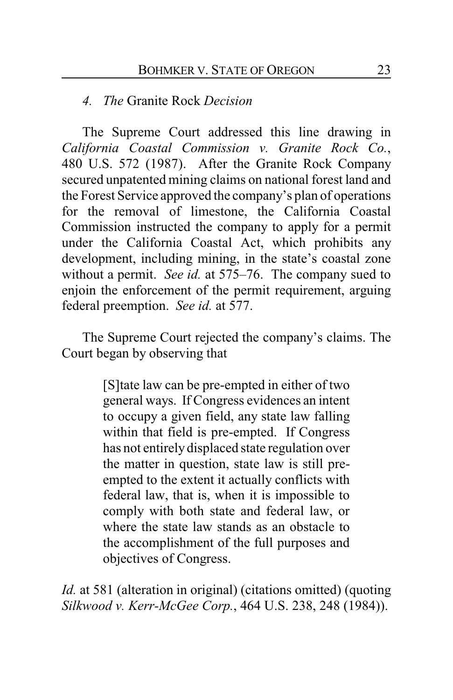### *4. The* Granite Rock *Decision*

The Supreme Court addressed this line drawing in *California Coastal Commission v. Granite Rock Co.*, 480 U.S. 572 (1987). After the Granite Rock Company secured unpatented mining claims on national forest land and the Forest Service approved the company's plan of operations for the removal of limestone, the California Coastal Commission instructed the company to apply for a permit under the California Coastal Act, which prohibits any development, including mining, in the state's coastal zone without a permit. *See id.* at 575–76. The company sued to enjoin the enforcement of the permit requirement, arguing federal preemption. *See id.* at 577.

The Supreme Court rejected the company's claims. The Court began by observing that

> [S]tate law can be pre-empted in either of two general ways. If Congress evidences an intent to occupy a given field, any state law falling within that field is pre-empted. If Congress has not entirely displaced state regulation over the matter in question, state law is still preempted to the extent it actually conflicts with federal law, that is, when it is impossible to comply with both state and federal law, or where the state law stands as an obstacle to the accomplishment of the full purposes and objectives of Congress.

*Id.* at 581 (alteration in original) (citations omitted) (quoting *Silkwood v. Kerr-McGee Corp.*, 464 U.S. 238, 248 (1984)).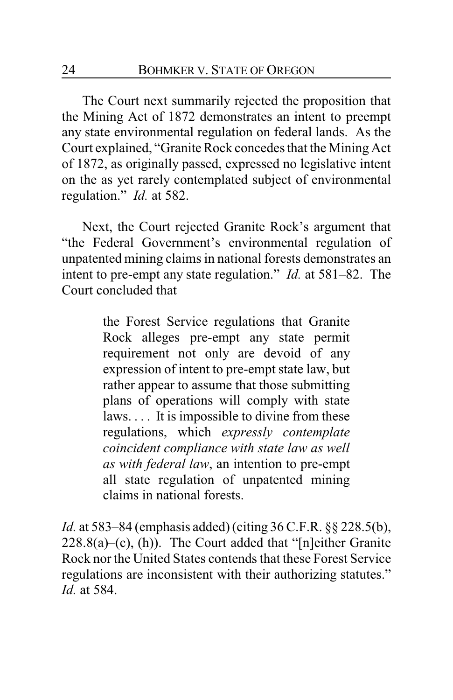The Court next summarily rejected the proposition that the Mining Act of 1872 demonstrates an intent to preempt any state environmental regulation on federal lands. As the Court explained, "Granite Rock concedes that the Mining Act of 1872, as originally passed, expressed no legislative intent on the as yet rarely contemplated subject of environmental regulation." *Id.* at 582.

Next, the Court rejected Granite Rock's argument that "the Federal Government's environmental regulation of unpatented mining claims in national forests demonstrates an intent to pre-empt any state regulation." *Id.* at 581–82. The Court concluded that

> the Forest Service regulations that Granite Rock alleges pre-empt any state permit requirement not only are devoid of any expression of intent to pre-empt state law, but rather appear to assume that those submitting plans of operations will comply with state laws. . . . It is impossible to divine from these regulations, which *expressly contemplate coincident compliance with state law as well as with federal law*, an intention to pre-empt all state regulation of unpatented mining claims in national forests.

*Id.* at 583–84 (emphasis added) (citing 36 C.F.R. §§ 228.5(b),  $228.8(a)$ –(c), (h)). The Court added that "[n]either Granite" Rock nor the United States contends that these Forest Service regulations are inconsistent with their authorizing statutes." *Id.* at 584.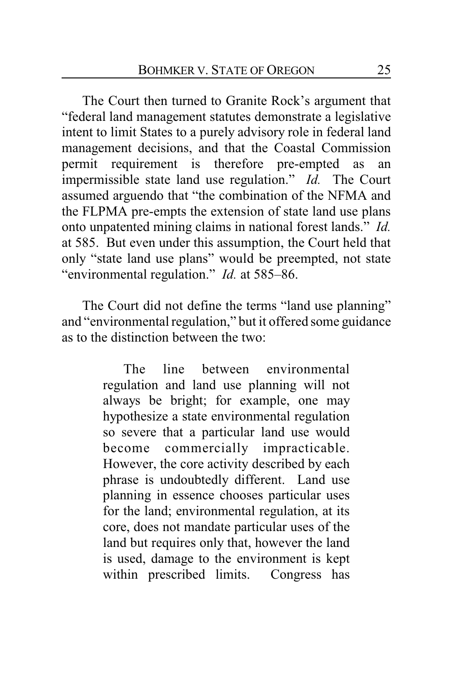The Court then turned to Granite Rock's argument that "federal land management statutes demonstrate a legislative intent to limit States to a purely advisory role in federal land management decisions, and that the Coastal Commission permit requirement is therefore pre-empted as an impermissible state land use regulation." *Id.* The Court assumed arguendo that "the combination of the NFMA and the FLPMA pre-empts the extension of state land use plans onto unpatented mining claims in national forest lands." *Id.* at 585. But even under this assumption, the Court held that only "state land use plans" would be preempted, not state "environmental regulation." *Id.* at 585–86.

The Court did not define the terms "land use planning" and "environmental regulation," but it offered some guidance as to the distinction between the two:

> The line between environmental regulation and land use planning will not always be bright; for example, one may hypothesize a state environmental regulation so severe that a particular land use would become commercially impracticable. However, the core activity described by each phrase is undoubtedly different. Land use planning in essence chooses particular uses for the land; environmental regulation, at its core, does not mandate particular uses of the land but requires only that, however the land is used, damage to the environment is kept within prescribed limits. Congress has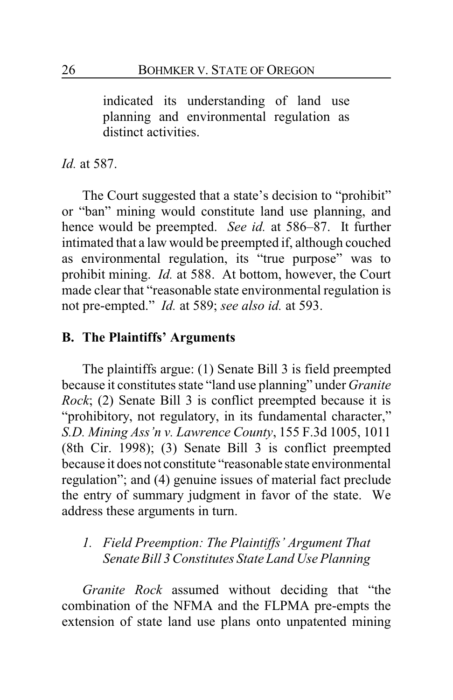indicated its understanding of land use planning and environmental regulation as distinct activities.

*Id.* at 587.

The Court suggested that a state's decision to "prohibit" or "ban" mining would constitute land use planning, and hence would be preempted. *See id.* at 586–87. It further intimated that a law would be preempted if, although couched as environmental regulation, its "true purpose" was to prohibit mining. *Id.* at 588. At bottom, however, the Court made clear that "reasonable state environmental regulation is not pre-empted." *Id.* at 589; *see also id.* at 593.

### **B. The Plaintiffs' Arguments**

The plaintiffs argue: (1) Senate Bill 3 is field preempted because it constitutes state "land use planning" under *Granite Rock*; (2) Senate Bill 3 is conflict preempted because it is "prohibitory, not regulatory, in its fundamental character," *S.D. Mining Ass'n v. Lawrence County*, 155 F.3d 1005, 1011 (8th Cir. 1998); (3) Senate Bill 3 is conflict preempted because it does not constitute "reasonable state environmental regulation"; and (4) genuine issues of material fact preclude the entry of summary judgment in favor of the state. We address these arguments in turn.

## *1. Field Preemption: The Plaintiffs' Argument That Senate Bill 3 Constitutes State Land Use Planning*

*Granite Rock* assumed without deciding that "the combination of the NFMA and the FLPMA pre-empts the extension of state land use plans onto unpatented mining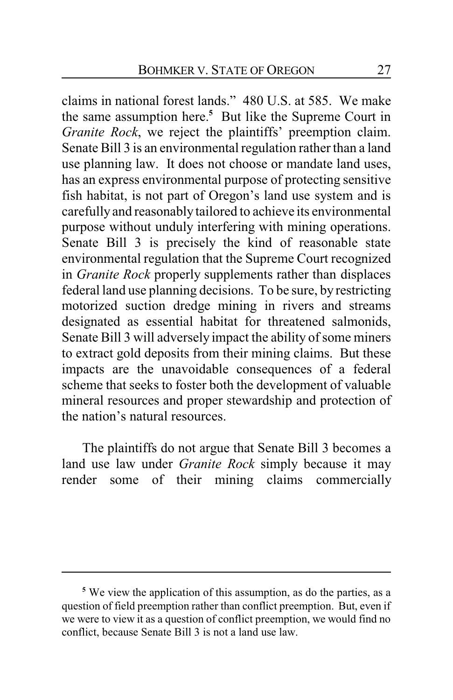claims in national forest lands." 480 U.S. at 585. We make the same assumption here.**<sup>5</sup>** But like the Supreme Court in *Granite Rock*, we reject the plaintiffs' preemption claim. Senate Bill 3 is an environmental regulation rather than a land use planning law. It does not choose or mandate land uses, has an express environmental purpose of protecting sensitive fish habitat, is not part of Oregon's land use system and is carefully and reasonably tailored to achieve its environmental purpose without unduly interfering with mining operations. Senate Bill 3 is precisely the kind of reasonable state environmental regulation that the Supreme Court recognized in *Granite Rock* properly supplements rather than displaces federal land use planning decisions. To be sure, by restricting motorized suction dredge mining in rivers and streams designated as essential habitat for threatened salmonids, Senate Bill 3 will adversely impact the ability of some miners to extract gold deposits from their mining claims. But these impacts are the unavoidable consequences of a federal scheme that seeks to foster both the development of valuable mineral resources and proper stewardship and protection of the nation's natural resources.

The plaintiffs do not argue that Senate Bill 3 becomes a land use law under *Granite Rock* simply because it may render some of their mining claims commercially

**<sup>5</sup>** We view the application of this assumption, as do the parties, as a question of field preemption rather than conflict preemption. But, even if we were to view it as a question of conflict preemption, we would find no conflict, because Senate Bill 3 is not a land use law.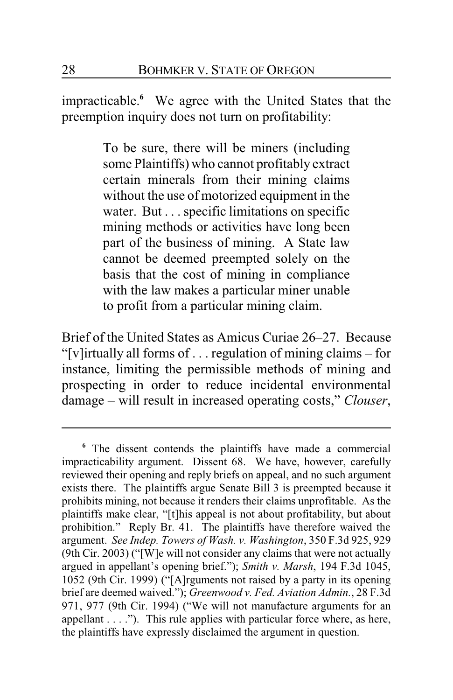impracticable.**<sup>6</sup>** We agree with the United States that the preemption inquiry does not turn on profitability:

> To be sure, there will be miners (including some Plaintiffs) who cannot profitably extract certain minerals from their mining claims without the use of motorized equipment in the water. But . . . specific limitations on specific mining methods or activities have long been part of the business of mining. A State law cannot be deemed preempted solely on the basis that the cost of mining in compliance with the law makes a particular miner unable to profit from a particular mining claim.

Brief of the United States as Amicus Curiae 26–27. Because "[v]irtually all forms of . . . regulation of mining claims – for instance, limiting the permissible methods of mining and prospecting in order to reduce incidental environmental damage – will result in increased operating costs," *Clouser*,

**<sup>6</sup>** The dissent contends the plaintiffs have made a commercial impracticability argument. Dissent 68. We have, however, carefully reviewed their opening and reply briefs on appeal, and no such argument exists there. The plaintiffs argue Senate Bill 3 is preempted because it prohibits mining, not because it renders their claims unprofitable. As the plaintiffs make clear, "[t]his appeal is not about profitability, but about prohibition." Reply Br. 41. The plaintiffs have therefore waived the argument. *See Indep. Towers of Wash. v. Washington*, 350 F.3d 925, 929 (9th Cir. 2003) ("[W]e will not consider any claims that were not actually argued in appellant's opening brief."); *Smith v. Marsh*, 194 F.3d 1045, 1052 (9th Cir. 1999) ("[A]rguments not raised by a party in its opening brief are deemed waived."); *Greenwood v. Fed. Aviation Admin.*, 28 F.3d 971, 977 (9th Cir. 1994) ("We will not manufacture arguments for an appellant  $\dots$  ."). This rule applies with particular force where, as here, the plaintiffs have expressly disclaimed the argument in question.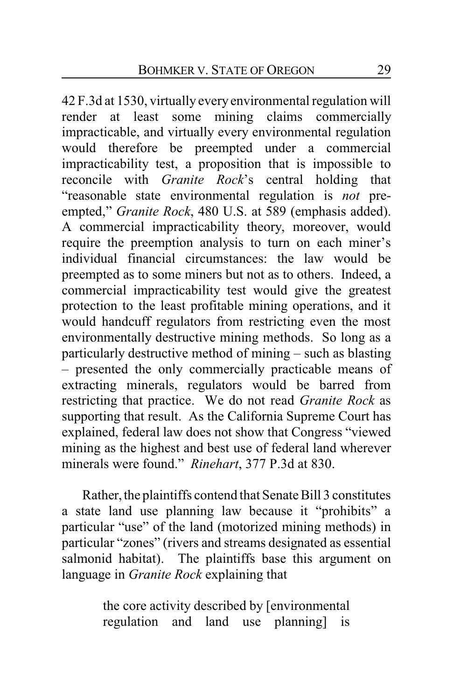42 F.3d at 1530, virtually every environmental regulation will render at least some mining claims commercially impracticable, and virtually every environmental regulation would therefore be preempted under a commercial impracticability test, a proposition that is impossible to reconcile with *Granite Rock*'s central holding that "reasonable state environmental regulation is *not* preempted," *Granite Rock*, 480 U.S. at 589 (emphasis added). A commercial impracticability theory, moreover, would require the preemption analysis to turn on each miner's individual financial circumstances: the law would be preempted as to some miners but not as to others. Indeed, a commercial impracticability test would give the greatest protection to the least profitable mining operations, and it would handcuff regulators from restricting even the most environmentally destructive mining methods. So long as a particularly destructive method of mining – such as blasting – presented the only commercially practicable means of extracting minerals, regulators would be barred from restricting that practice. We do not read *Granite Rock* as supporting that result. As the California Supreme Court has explained, federal law does not show that Congress "viewed mining as the highest and best use of federal land wherever minerals were found." *Rinehart*, 377 P.3d at 830.

Rather, the plaintiffs contend that Senate Bill 3 constitutes a state land use planning law because it "prohibits" a particular "use" of the land (motorized mining methods) in particular "zones" (rivers and streams designated as essential salmonid habitat). The plaintiffs base this argument on language in *Granite Rock* explaining that

> the core activity described by [environmental regulation and land use planning] is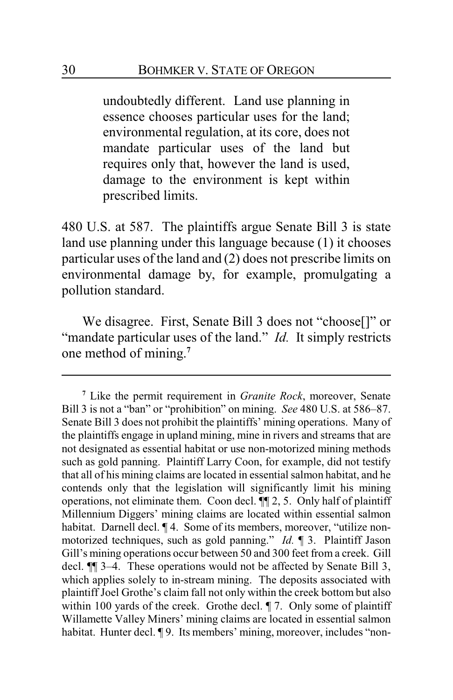undoubtedly different. Land use planning in essence chooses particular uses for the land; environmental regulation, at its core, does not mandate particular uses of the land but requires only that, however the land is used, damage to the environment is kept within prescribed limits.

480 U.S. at 587. The plaintiffs argue Senate Bill 3 is state land use planning under this language because (1) it chooses particular uses of the land and (2) does not prescribe limits on environmental damage by, for example, promulgating a pollution standard.

We disagree. First, Senate Bill 3 does not "choose[]" or "mandate particular uses of the land." *Id.* It simply restricts one method of mining. **7**

**<sup>7</sup>** Like the permit requirement in *Granite Rock*, moreover, Senate Bill 3 is not a "ban" or "prohibition" on mining. *See* 480 U.S. at 586–87. Senate Bill 3 does not prohibit the plaintiffs' mining operations. Many of the plaintiffs engage in upland mining, mine in rivers and streams that are not designated as essential habitat or use non-motorized mining methods such as gold panning. Plaintiff Larry Coon, for example, did not testify that all of his mining claims are located in essential salmon habitat, and he contends only that the legislation will significantly limit his mining operations, not eliminate them. Coon decl. ¶¶ 2, 5. Only half of plaintiff Millennium Diggers' mining claims are located within essential salmon habitat. Darnell decl. ¶ 4. Some of its members, moreover, "utilize nonmotorized techniques, such as gold panning." *Id.* ¶ 3. Plaintiff Jason Gill's mining operations occur between 50 and 300 feet from a creek. Gill decl. ¶¶ 3–4. These operations would not be affected by Senate Bill 3, which applies solely to in-stream mining. The deposits associated with plaintiff Joel Grothe's claim fall not only within the creek bottom but also within 100 yards of the creek. Grothe decl.  $\parallel$  7. Only some of plaintiff Willamette Valley Miners' mining claims are located in essential salmon habitat. Hunter decl. ¶9. Its members' mining, moreover, includes "non-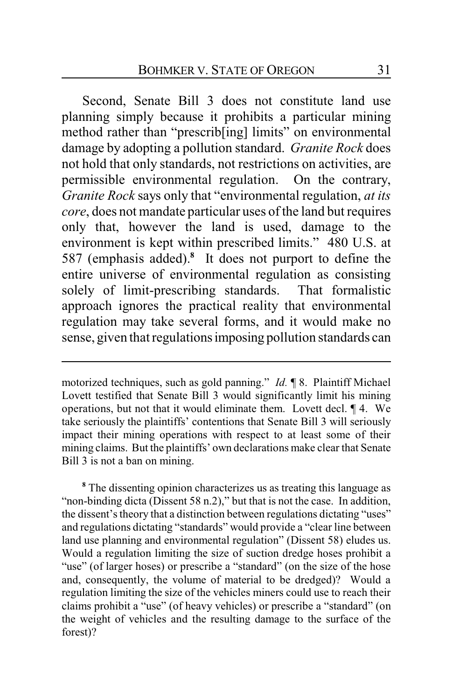Second, Senate Bill 3 does not constitute land use planning simply because it prohibits a particular mining method rather than "prescrib[ing] limits" on environmental damage by adopting a pollution standard. *Granite Rock* does not hold that only standards, not restrictions on activities, are permissible environmental regulation. On the contrary, *Granite Rock* says only that "environmental regulation, *at its core*, does not mandate particular uses of the land but requires only that, however the land is used, damage to the environment is kept within prescribed limits." 480 U.S. at 587 (emphasis added).**<sup>8</sup>** It does not purport to define the entire universe of environmental regulation as consisting solely of limit-prescribing standards. That formalistic approach ignores the practical reality that environmental regulation may take several forms, and it would make no sense, given that regulationsimposing pollution standards can

motorized techniques, such as gold panning." *Id.* ¶ 8. Plaintiff Michael Lovett testified that Senate Bill 3 would significantly limit his mining operations, but not that it would eliminate them. Lovett decl. ¶ 4. We take seriously the plaintiffs' contentions that Senate Bill 3 will seriously impact their mining operations with respect to at least some of their mining claims. But the plaintiffs' own declarations make clear that Senate Bill 3 is not a ban on mining.

**<sup>8</sup>** The dissenting opinion characterizes us as treating this language as "non-binding dicta (Dissent 58 n.2)," but that is not the case. In addition, the dissent's theory that a distinction between regulations dictating "uses" and regulations dictating "standards" would provide a "clear line between land use planning and environmental regulation" (Dissent 58) eludes us. Would a regulation limiting the size of suction dredge hoses prohibit a "use" (of larger hoses) or prescribe a "standard" (on the size of the hose and, consequently, the volume of material to be dredged)? Would a regulation limiting the size of the vehicles miners could use to reach their claims prohibit a "use" (of heavy vehicles) or prescribe a "standard" (on the weight of vehicles and the resulting damage to the surface of the forest)?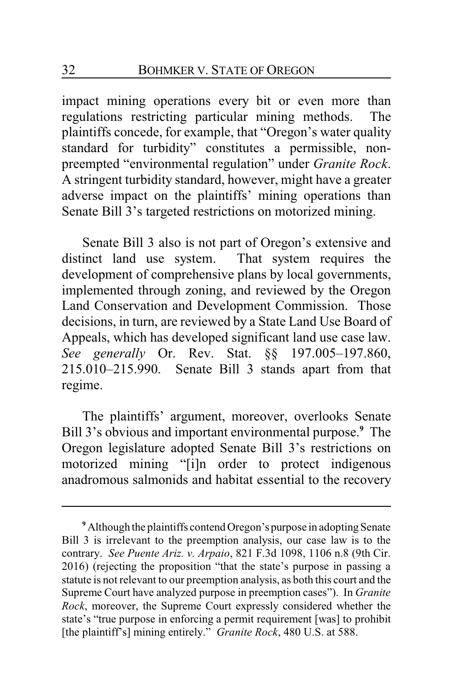impact mining operations every bit or even more than regulations restricting particular mining methods. The plaintiffs concede, for example, that "Oregon's water quality standard for turbidity" constitutes a permissible, nonpreempted "environmental regulation" under *Granite Rock*. A stringent turbidity standard, however, might have a greater adverse impact on the plaintiffs' mining operations than Senate Bill 3's targeted restrictions on motorized mining.

Senate Bill 3 also is not part of Oregon's extensive and distinct land use system. That system requires the development of comprehensive plans by local governments, implemented through zoning, and reviewed by the Oregon Land Conservation and Development Commission. Those decisions, in turn, are reviewed by a State Land Use Board of Appeals, which has developed significant land use case law. *See generally* Or. Rev. Stat. §§ 197.005–197.860, 215.010–215.990. Senate Bill 3 stands apart from that regime.

The plaintiffs' argument, moreover, overlooks Senate Bill 3's obvious and important environmental purpose.**<sup>9</sup>** The Oregon legislature adopted Senate Bill 3's restrictions on motorized mining "[i]n order to protect indigenous anadromous salmonids and habitat essential to the recovery

<sup>&</sup>lt;sup>9</sup> Although the plaintiffs contend Oregon's purpose in adopting Senate Bill 3 is irrelevant to the preemption analysis, our case law is to the contrary. *See Puente Ariz. v. Arpaio*, 821 F.3d 1098, 1106 n.8 (9th Cir. 2016) (rejecting the proposition "that the state's purpose in passing a statute is not relevant to our preemption analysis, as both this court and the Supreme Court have analyzed purpose in preemption cases"). In *Granite Rock*, moreover, the Supreme Court expressly considered whether the state's "true purpose in enforcing a permit requirement [was] to prohibit [the plaintiff's] mining entirely." *Granite Rock*, 480 U.S. at 588.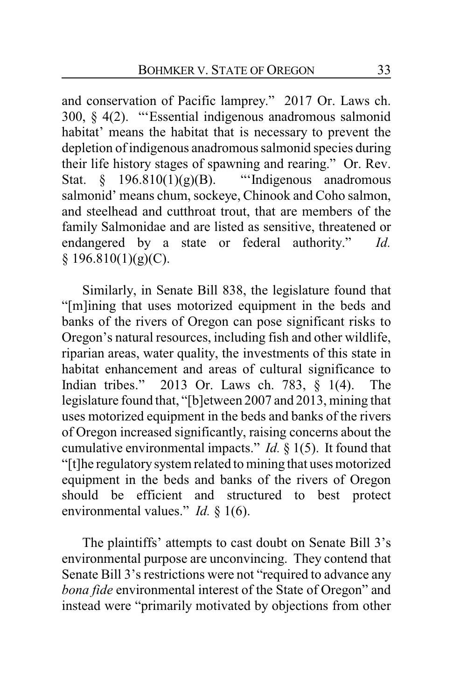and conservation of Pacific lamprey." 2017 Or. Laws ch. 300, § 4(2). "'Essential indigenous anadromous salmonid habitat' means the habitat that is necessary to prevent the depletion of indigenous anadromous salmonid species during their life history stages of spawning and rearing." Or. Rev. Stat.  $\S$  196.810(1)(g)(B). "Indigenous anadromous salmonid' means chum, sockeye, Chinook and Coho salmon, and steelhead and cutthroat trout, that are members of the family Salmonidae and are listed as sensitive, threatened or endangered by a state or federal authority." *Id.*  $§$  196.810(1)(g)(C).

Similarly, in Senate Bill 838, the legislature found that "[m]ining that uses motorized equipment in the beds and banks of the rivers of Oregon can pose significant risks to Oregon's natural resources, including fish and other wildlife, riparian areas, water quality, the investments of this state in habitat enhancement and areas of cultural significance to Indian tribes." 2013 Or. Laws ch. 783, § 1(4). The legislature found that, "[b]etween 2007 and 2013, mining that uses motorized equipment in the beds and banks of the rivers of Oregon increased significantly, raising concerns about the cumulative environmental impacts." *Id.* § 1(5). It found that "[t]he regulatory system related to mining that uses motorized equipment in the beds and banks of the rivers of Oregon should be efficient and structured to best protect environmental values." *Id.* § 1(6).

The plaintiffs' attempts to cast doubt on Senate Bill 3's environmental purpose are unconvincing. They contend that Senate Bill 3's restrictions were not "required to advance any *bona fide* environmental interest of the State of Oregon" and instead were "primarily motivated by objections from other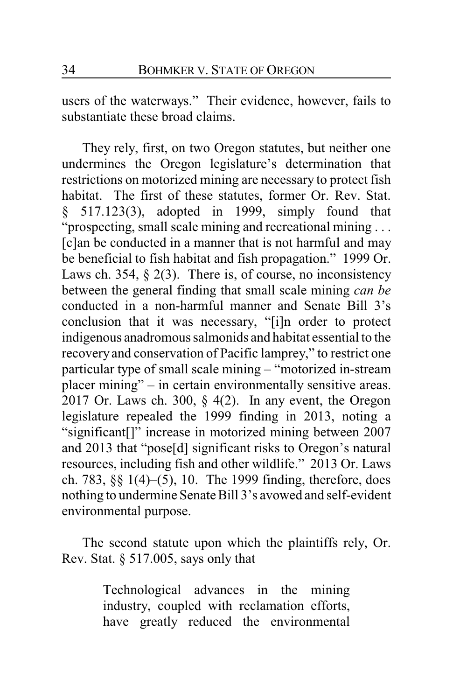users of the waterways." Their evidence, however, fails to substantiate these broad claims.

They rely, first, on two Oregon statutes, but neither one undermines the Oregon legislature's determination that restrictions on motorized mining are necessary to protect fish habitat. The first of these statutes, former Or. Rev. Stat. § 517.123(3), adopted in 1999, simply found that "prospecting, small scale mining and recreational mining . . . [c]an be conducted in a manner that is not harmful and may be beneficial to fish habitat and fish propagation." 1999 Or. Laws ch. 354,  $\S$  2(3). There is, of course, no inconsistency between the general finding that small scale mining *can be* conducted in a non-harmful manner and Senate Bill 3's conclusion that it was necessary, "[i]n order to protect indigenous anadromous salmonids and habitat essential to the recovery and conservation of Pacific lamprey," to restrict one particular type of small scale mining – "motorized in-stream placer mining" – in certain environmentally sensitive areas. 2017 Or. Laws ch. 300,  $\S$  4(2). In any event, the Oregon legislature repealed the 1999 finding in 2013, noting a "significant[]" increase in motorized mining between 2007 and 2013 that "pose[d] significant risks to Oregon's natural resources, including fish and other wildlife." 2013 Or. Laws ch. 783, §§ 1(4)–(5), 10. The 1999 finding, therefore, does nothing to undermine Senate Bill 3's avowed and self-evident environmental purpose.

The second statute upon which the plaintiffs rely, Or. Rev. Stat. § 517.005, says only that

> Technological advances in the mining industry, coupled with reclamation efforts, have greatly reduced the environmental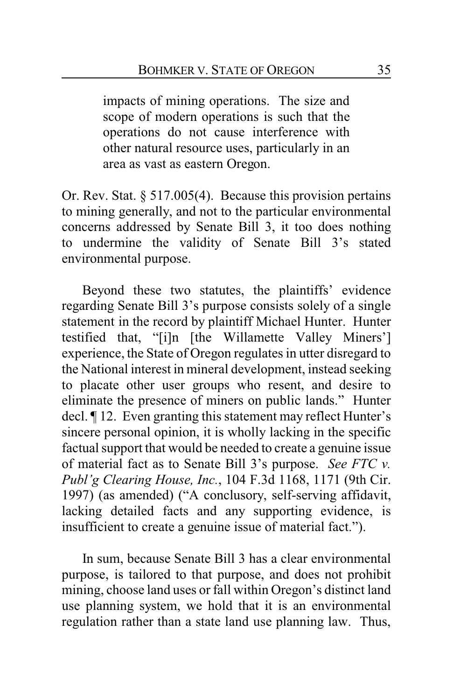impacts of mining operations. The size and scope of modern operations is such that the operations do not cause interference with other natural resource uses, particularly in an area as vast as eastern Oregon.

Or. Rev. Stat. § 517.005(4). Because this provision pertains to mining generally, and not to the particular environmental concerns addressed by Senate Bill 3, it too does nothing to undermine the validity of Senate Bill 3's stated environmental purpose.

Beyond these two statutes, the plaintiffs' evidence regarding Senate Bill 3's purpose consists solely of a single statement in the record by plaintiff Michael Hunter. Hunter testified that, "[i]n [the Willamette Valley Miners'] experience, the State of Oregon regulates in utter disregard to the National interest in mineral development, instead seeking to placate other user groups who resent, and desire to eliminate the presence of miners on public lands." Hunter decl. ¶ 12. Even granting this statement may reflect Hunter's sincere personal opinion, it is wholly lacking in the specific factual support that would be needed to create a genuine issue of material fact as to Senate Bill 3's purpose. *See FTC v. Publ'g Clearing House, Inc.*, 104 F.3d 1168, 1171 (9th Cir. 1997) (as amended) ("A conclusory, self-serving affidavit, lacking detailed facts and any supporting evidence, is insufficient to create a genuine issue of material fact.").

In sum, because Senate Bill 3 has a clear environmental purpose, is tailored to that purpose, and does not prohibit mining, choose land uses or fall within Oregon's distinct land use planning system, we hold that it is an environmental regulation rather than a state land use planning law. Thus,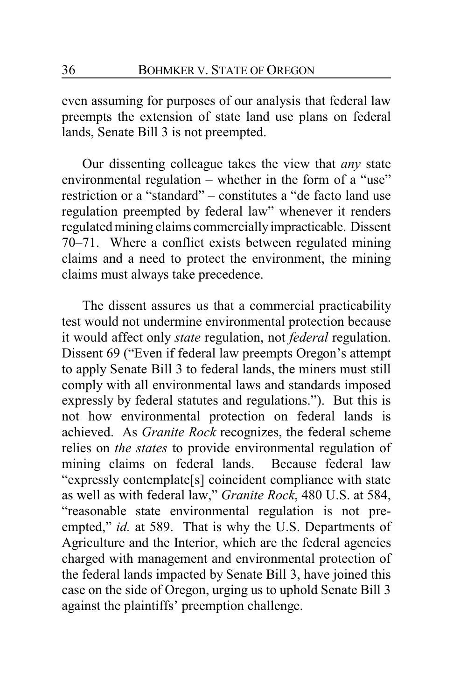even assuming for purposes of our analysis that federal law preempts the extension of state land use plans on federal lands, Senate Bill 3 is not preempted.

Our dissenting colleague takes the view that *any* state environmental regulation – whether in the form of a "use" restriction or a "standard" – constitutes a "de facto land use regulation preempted by federal law" whenever it renders regulated mining claims commerciallyimpracticable. Dissent 70–71. Where a conflict exists between regulated mining claims and a need to protect the environment, the mining claims must always take precedence.

The dissent assures us that a commercial practicability test would not undermine environmental protection because it would affect only *state* regulation, not *federal* regulation. Dissent 69 ("Even if federal law preempts Oregon's attempt to apply Senate Bill 3 to federal lands, the miners must still comply with all environmental laws and standards imposed expressly by federal statutes and regulations."). But this is not how environmental protection on federal lands is achieved. As *Granite Rock* recognizes, the federal scheme relies on *the states* to provide environmental regulation of mining claims on federal lands. Because federal law "expressly contemplate[s] coincident compliance with state as well as with federal law," *Granite Rock*, 480 U.S. at 584, "reasonable state environmental regulation is not preempted," *id.* at 589. That is why the U.S. Departments of Agriculture and the Interior, which are the federal agencies charged with management and environmental protection of the federal lands impacted by Senate Bill 3, have joined this case on the side of Oregon, urging us to uphold Senate Bill 3 against the plaintiffs' preemption challenge.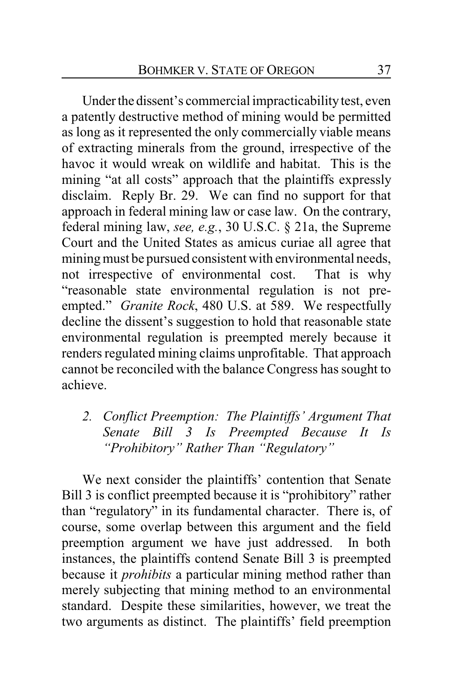Under the dissent's commercial impracticability test, even a patently destructive method of mining would be permitted as long as it represented the only commercially viable means of extracting minerals from the ground, irrespective of the havoc it would wreak on wildlife and habitat. This is the mining "at all costs" approach that the plaintiffs expressly disclaim. Reply Br. 29. We can find no support for that approach in federal mining law or case law. On the contrary, federal mining law, *see, e.g.*, 30 U.S.C. § 21a, the Supreme Court and the United States as amicus curiae all agree that mining must be pursued consistent with environmental needs, not irrespective of environmental cost. That is why "reasonable state environmental regulation is not preempted." *Granite Rock*, 480 U.S. at 589. We respectfully decline the dissent's suggestion to hold that reasonable state environmental regulation is preempted merely because it renders regulated mining claims unprofitable. That approach cannot be reconciled with the balance Congress has sought to achieve.

*2. Conflict Preemption: The Plaintiffs' Argument That Senate Bill 3 Is Preempted Because It Is "Prohibitory" Rather Than "Regulatory"*

We next consider the plaintiffs' contention that Senate Bill 3 is conflict preempted because it is "prohibitory" rather than "regulatory" in its fundamental character. There is, of course, some overlap between this argument and the field preemption argument we have just addressed. In both instances, the plaintiffs contend Senate Bill 3 is preempted because it *prohibits* a particular mining method rather than merely subjecting that mining method to an environmental standard. Despite these similarities, however, we treat the two arguments as distinct. The plaintiffs' field preemption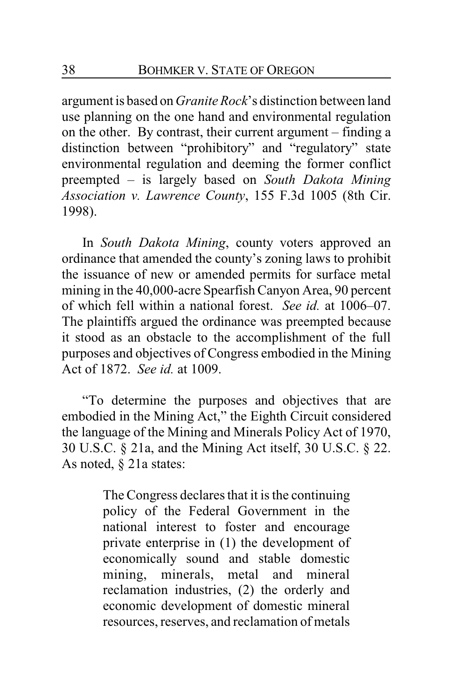argument is based on *Granite Rock*'s distinction between land use planning on the one hand and environmental regulation on the other. By contrast, their current argument – finding a distinction between "prohibitory" and "regulatory" state environmental regulation and deeming the former conflict preempted – is largely based on *South Dakota Mining Association v. Lawrence County*, 155 F.3d 1005 (8th Cir. 1998).

In *South Dakota Mining*, county voters approved an ordinance that amended the county's zoning laws to prohibit the issuance of new or amended permits for surface metal mining in the 40,000-acre Spearfish Canyon Area, 90 percent of which fell within a national forest. *See id.* at 1006–07. The plaintiffs argued the ordinance was preempted because it stood as an obstacle to the accomplishment of the full purposes and objectives of Congress embodied in the Mining Act of 1872. *See id.* at 1009.

"To determine the purposes and objectives that are embodied in the Mining Act," the Eighth Circuit considered the language of the Mining and Minerals Policy Act of 1970, 30 U.S.C. § 21a, and the Mining Act itself, 30 U.S.C. § 22. As noted, § 21a states:

> The Congress declares that it is the continuing policy of the Federal Government in the national interest to foster and encourage private enterprise in (1) the development of economically sound and stable domestic mining, minerals, metal and mineral reclamation industries, (2) the orderly and economic development of domestic mineral resources, reserves, and reclamation of metals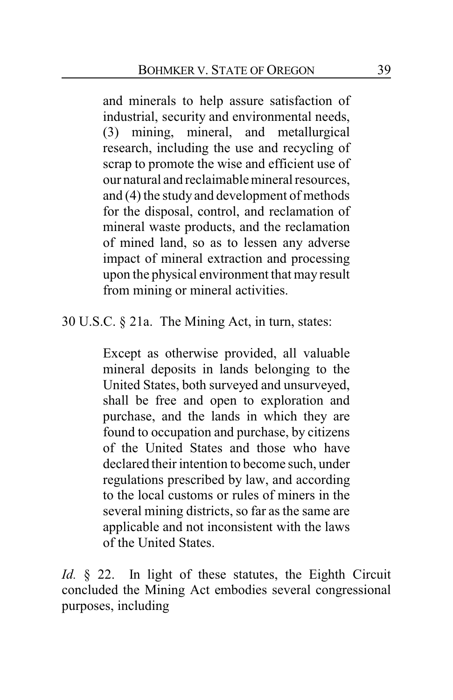and minerals to help assure satisfaction of industrial, security and environmental needs, (3) mining, mineral, and metallurgical research, including the use and recycling of scrap to promote the wise and efficient use of our natural and reclaimable mineral resources, and (4) the study and development of methods for the disposal, control, and reclamation of mineral waste products, and the reclamation of mined land, so as to lessen any adverse impact of mineral extraction and processing upon the physical environment that may result from mining or mineral activities.

### 30 U.S.C. § 21a. The Mining Act, in turn, states:

Except as otherwise provided, all valuable mineral deposits in lands belonging to the United States, both surveyed and unsurveyed, shall be free and open to exploration and purchase, and the lands in which they are found to occupation and purchase, by citizens of the United States and those who have declared their intention to become such, under regulations prescribed by law, and according to the local customs or rules of miners in the several mining districts, so far as the same are applicable and not inconsistent with the laws of the United States.

*Id.* § 22. In light of these statutes, the Eighth Circuit concluded the Mining Act embodies several congressional purposes, including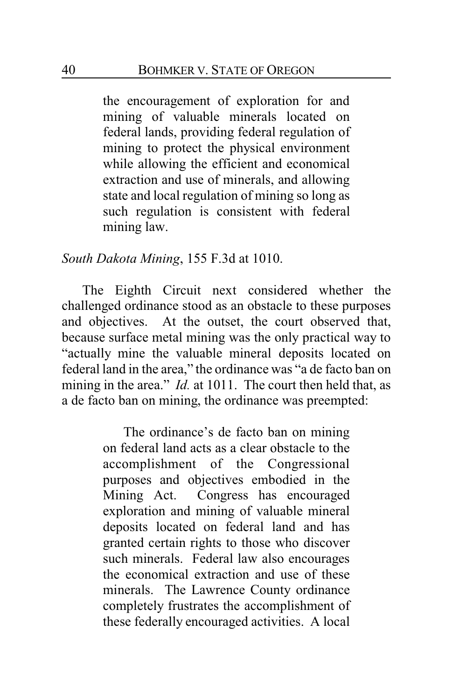the encouragement of exploration for and mining of valuable minerals located on federal lands, providing federal regulation of mining to protect the physical environment while allowing the efficient and economical extraction and use of minerals, and allowing state and local regulation of mining so long as such regulation is consistent with federal mining law.

### *South Dakota Mining*, 155 F.3d at 1010.

The Eighth Circuit next considered whether the challenged ordinance stood as an obstacle to these purposes and objectives. At the outset, the court observed that, because surface metal mining was the only practical way to "actually mine the valuable mineral deposits located on federal land in the area," the ordinance was "a de facto ban on mining in the area." *Id.* at 1011. The court then held that, as a de facto ban on mining, the ordinance was preempted:

> The ordinance's de facto ban on mining on federal land acts as a clear obstacle to the accomplishment of the Congressional purposes and objectives embodied in the Mining Act. Congress has encouraged exploration and mining of valuable mineral deposits located on federal land and has granted certain rights to those who discover such minerals. Federal law also encourages the economical extraction and use of these minerals. The Lawrence County ordinance completely frustrates the accomplishment of these federally encouraged activities. A local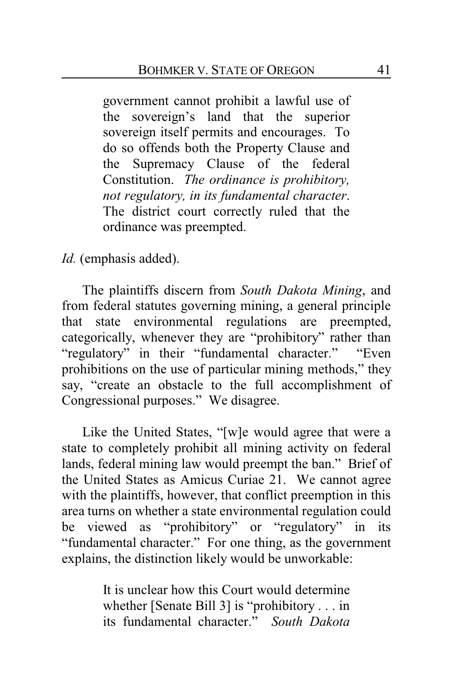government cannot prohibit a lawful use of the sovereign's land that the superior sovereign itself permits and encourages. To do so offends both the Property Clause and the Supremacy Clause of the federal Constitution. *The ordinance is prohibitory, not regulatory, in its fundamental character*. The district court correctly ruled that the ordinance was preempted.

*Id.* (emphasis added).

The plaintiffs discern from *South Dakota Mining*, and from federal statutes governing mining, a general principle that state environmental regulations are preempted, categorically, whenever they are "prohibitory" rather than "regulatory" in their "fundamental character." "Even prohibitions on the use of particular mining methods," they say, "create an obstacle to the full accomplishment of Congressional purposes." We disagree.

Like the United States, "[w]e would agree that were a state to completely prohibit all mining activity on federal lands, federal mining law would preempt the ban." Brief of the United States as Amicus Curiae 21. We cannot agree with the plaintiffs, however, that conflict preemption in this area turns on whether a state environmental regulation could be viewed as "prohibitory" or "regulatory" in its "fundamental character." For one thing, as the government explains, the distinction likely would be unworkable:

> It is unclear how this Court would determine whether [Senate Bill 3] is "prohibitory . . . in its fundamental character." *South Dakota*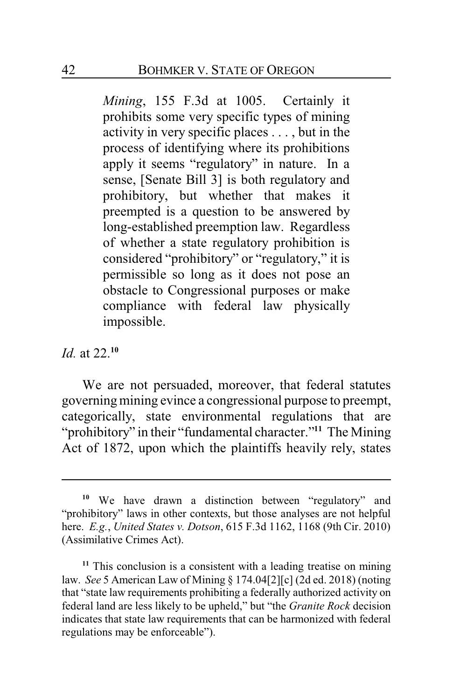*Mining*, 155 F.3d at 1005. Certainly it prohibits some very specific types of mining activity in very specific places . . . , but in the process of identifying where its prohibitions apply it seems "regulatory" in nature. In a sense, [Senate Bill 3] is both regulatory and prohibitory, but whether that makes it preempted is a question to be answered by long-established preemption law. Regardless of whether a state regulatory prohibition is considered "prohibitory" or "regulatory," it is permissible so long as it does not pose an obstacle to Congressional purposes or make compliance with federal law physically impossible.

### *Id.* at 22.**<sup>10</sup>**

We are not persuaded, moreover, that federal statutes governing mining evince a congressional purpose to preempt, categorically, state environmental regulations that are "prohibitory" in their "fundamental character."**<sup>11</sup>** The Mining Act of 1872, upon which the plaintiffs heavily rely, states

**<sup>10</sup>** We have drawn a distinction between "regulatory" and "prohibitory" laws in other contexts, but those analyses are not helpful here. *E.g.*, *United States v. Dotson*, 615 F.3d 1162, 1168 (9th Cir. 2010) (Assimilative Crimes Act).

**<sup>11</sup>** This conclusion is a consistent with a leading treatise on mining law. *See* 5 American Law of Mining § 174.04[2][c] (2d ed. 2018) (noting that "state law requirements prohibiting a federally authorized activity on federal land are less likely to be upheld," but "the *Granite Rock* decision indicates that state law requirements that can be harmonized with federal regulations may be enforceable").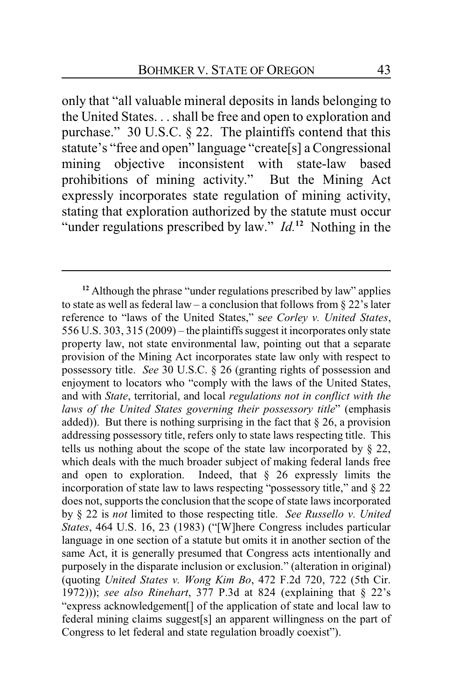only that "all valuable mineral deposits in lands belonging to the United States. . . shall be free and open to exploration and purchase." 30 U.S.C. § 22. The plaintiffs contend that this statute's "free and open" language "create[s] a Congressional mining objective inconsistent with state-law based prohibitions of mining activity." But the Mining Act expressly incorporates state regulation of mining activity, stating that exploration authorized by the statute must occur "under regulations prescribed by law." *Id*.<sup>12</sup> Nothing in the

<sup>&</sup>lt;sup>12</sup> Although the phrase "under regulations prescribed by law" applies to state as well as federal law – a conclusion that follows from  $\S 22$ 's later reference to "laws of the United States," s*ee Corley v. United States*, 556 U.S. 303, 315 (2009) – the plaintiffssuggest it incorporates only state property law, not state environmental law, pointing out that a separate provision of the Mining Act incorporates state law only with respect to possessory title. *See* 30 U.S.C. § 26 (granting rights of possession and enjoyment to locators who "comply with the laws of the United States, and with *State*, territorial, and local *regulations not in conflict with the laws of the United States governing their possessory title*" (emphasis added)). But there is nothing surprising in the fact that  $\S 26$ , a provision addressing possessory title, refers only to state laws respecting title. This tells us nothing about the scope of the state law incorporated by  $\S$  22, which deals with the much broader subject of making federal lands free and open to exploration. Indeed, that § 26 expressly limits the incorporation of state law to laws respecting "possessory title," and § 22 does not, supports the conclusion that the scope of state laws incorporated by § 22 is *not* limited to those respecting title. *See Russello v. United States*, 464 U.S. 16, 23 (1983) ("[W]here Congress includes particular language in one section of a statute but omits it in another section of the same Act, it is generally presumed that Congress acts intentionally and purposely in the disparate inclusion or exclusion." (alteration in original) (quoting *United States v. Wong Kim Bo*, 472 F.2d 720, 722 (5th Cir. 1972))); *see also Rinehart*, 377 P.3d at 824 (explaining that § 22's "express acknowledgement[] of the application of state and local law to federal mining claims suggest[s] an apparent willingness on the part of Congress to let federal and state regulation broadly coexist").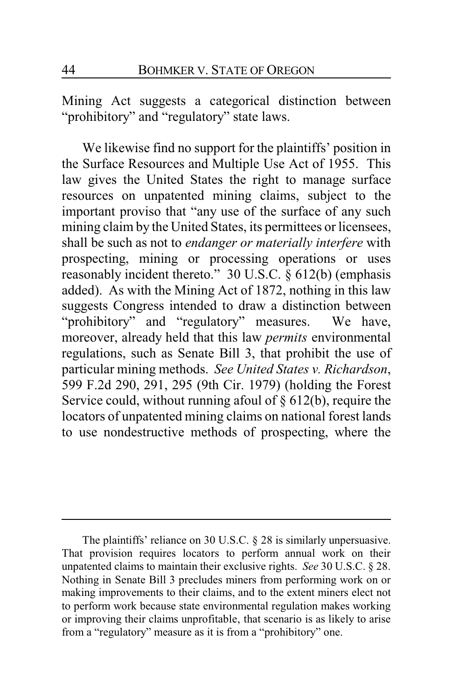Mining Act suggests a categorical distinction between "prohibitory" and "regulatory" state laws.

We likewise find no support for the plaintiffs' position in the Surface Resources and Multiple Use Act of 1955. This law gives the United States the right to manage surface resources on unpatented mining claims, subject to the important proviso that "any use of the surface of any such mining claim by the United States, its permittees or licensees, shall be such as not to *endanger or materially interfere* with prospecting, mining or processing operations or uses reasonably incident thereto." 30 U.S.C. § 612(b) (emphasis added). As with the Mining Act of 1872, nothing in this law suggests Congress intended to draw a distinction between "prohibitory" and "regulatory" measures. We have, moreover, already held that this law *permits* environmental regulations, such as Senate Bill 3, that prohibit the use of particular mining methods. *See United States v. Richardson*, 599 F.2d 290, 291, 295 (9th Cir. 1979) (holding the Forest Service could, without running afoul of  $\S 612(b)$ , require the locators of unpatented mining claims on national forest lands to use nondestructive methods of prospecting, where the

The plaintiffs' reliance on 30 U.S.C. § 28 is similarly unpersuasive. That provision requires locators to perform annual work on their unpatented claims to maintain their exclusive rights. *See* 30 U.S.C. § 28. Nothing in Senate Bill 3 precludes miners from performing work on or making improvements to their claims, and to the extent miners elect not to perform work because state environmental regulation makes working or improving their claims unprofitable, that scenario is as likely to arise from a "regulatory" measure as it is from a "prohibitory" one.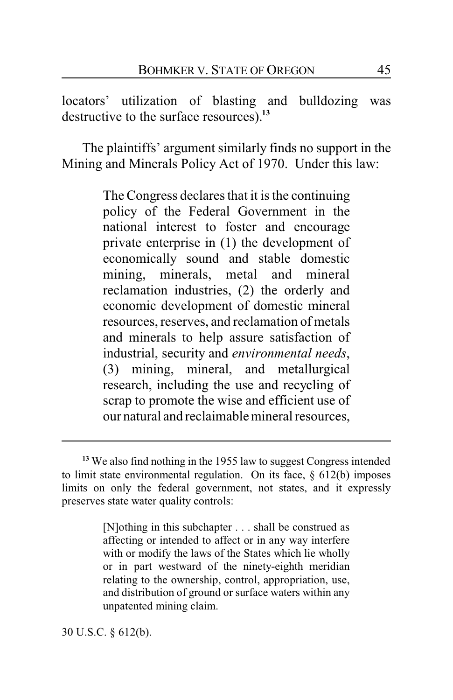locators' utilization of blasting and bulldozing was destructive to the surface resources).**<sup>13</sup>**

The plaintiffs' argument similarly finds no support in the Mining and Minerals Policy Act of 1970. Under this law:

> The Congress declares that it is the continuing policy of the Federal Government in the national interest to foster and encourage private enterprise in (1) the development of economically sound and stable domestic mining, minerals, metal and mineral reclamation industries, (2) the orderly and economic development of domestic mineral resources, reserves, and reclamation of metals and minerals to help assure satisfaction of industrial, security and *environmental needs*, (3) mining, mineral, and metallurgical research, including the use and recycling of scrap to promote the wise and efficient use of our natural and reclaimable mineral resources,

[N]othing in this subchapter . . . shall be construed as affecting or intended to affect or in any way interfere with or modify the laws of the States which lie wholly or in part westward of the ninety-eighth meridian relating to the ownership, control, appropriation, use, and distribution of ground or surface waters within any unpatented mining claim.

30 U.S.C. § 612(b).

**<sup>13</sup>** We also find nothing in the 1955 law to suggest Congress intended to limit state environmental regulation. On its face,  $\S$  612(b) imposes limits on only the federal government, not states, and it expressly preserves state water quality controls: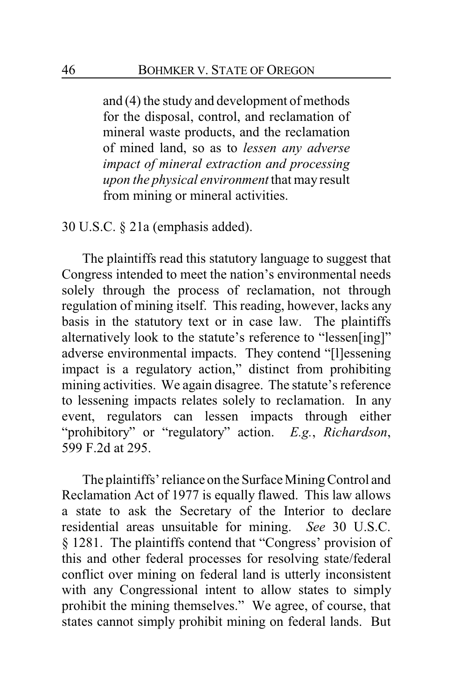and (4) the study and development of methods for the disposal, control, and reclamation of mineral waste products, and the reclamation of mined land, so as to *lessen any adverse impact of mineral extraction and processing upon the physical environment* that may result from mining or mineral activities.

30 U.S.C. § 21a (emphasis added).

The plaintiffs read this statutory language to suggest that Congress intended to meet the nation's environmental needs solely through the process of reclamation, not through regulation of mining itself. This reading, however, lacks any basis in the statutory text or in case law. The plaintiffs alternatively look to the statute's reference to "lessen[ing]" adverse environmental impacts. They contend "[l]essening impact is a regulatory action," distinct from prohibiting mining activities. We again disagree. The statute's reference to lessening impacts relates solely to reclamation. In any event, regulators can lessen impacts through either "prohibitory" or "regulatory" action. *E.g.*, *Richardson*, 599 F.2d at 295.

The plaintiffs' reliance on the Surface MiningControl and Reclamation Act of 1977 is equally flawed. This law allows a state to ask the Secretary of the Interior to declare residential areas unsuitable for mining. *See* 30 U.S.C. § 1281. The plaintiffs contend that "Congress' provision of this and other federal processes for resolving state/federal conflict over mining on federal land is utterly inconsistent with any Congressional intent to allow states to simply prohibit the mining themselves." We agree, of course, that states cannot simply prohibit mining on federal lands. But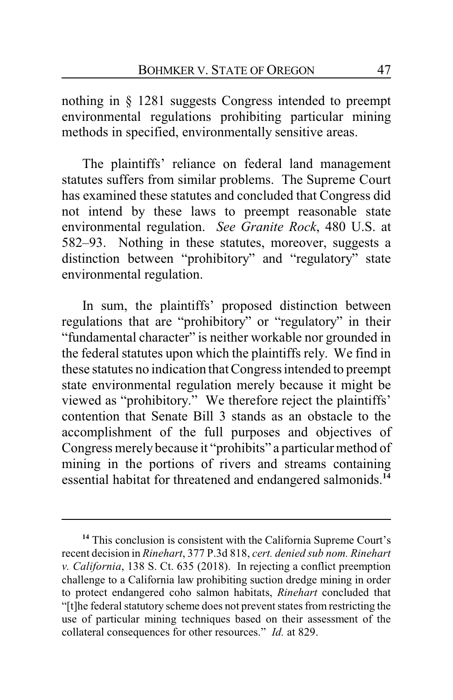nothing in § 1281 suggests Congress intended to preempt environmental regulations prohibiting particular mining methods in specified, environmentally sensitive areas.

The plaintiffs' reliance on federal land management statutes suffers from similar problems. The Supreme Court has examined these statutes and concluded that Congress did not intend by these laws to preempt reasonable state environmental regulation. *See Granite Rock*, 480 U.S. at 582–93. Nothing in these statutes, moreover, suggests a distinction between "prohibitory" and "regulatory" state environmental regulation.

In sum, the plaintiffs' proposed distinction between regulations that are "prohibitory" or "regulatory" in their "fundamental character" is neither workable nor grounded in the federal statutes upon which the plaintiffs rely. We find in these statutes no indication that Congress intended to preempt state environmental regulation merely because it might be viewed as "prohibitory." We therefore reject the plaintiffs' contention that Senate Bill 3 stands as an obstacle to the accomplishment of the full purposes and objectives of Congress merely because it "prohibits" a particular method of mining in the portions of rivers and streams containing essential habitat for threatened and endangered salmonids.**<sup>14</sup>**

**<sup>14</sup>** This conclusion is consistent with the California Supreme Court's recent decision in *Rinehart*, 377 P.3d 818, *cert. denied sub nom. Rinehart v. California*, 138 S. Ct. 635 (2018). In rejecting a conflict preemption challenge to a California law prohibiting suction dredge mining in order to protect endangered coho salmon habitats, *Rinehart* concluded that "[t]he federal statutory scheme does not prevent states from restricting the use of particular mining techniques based on their assessment of the collateral consequences for other resources." *Id.* at 829.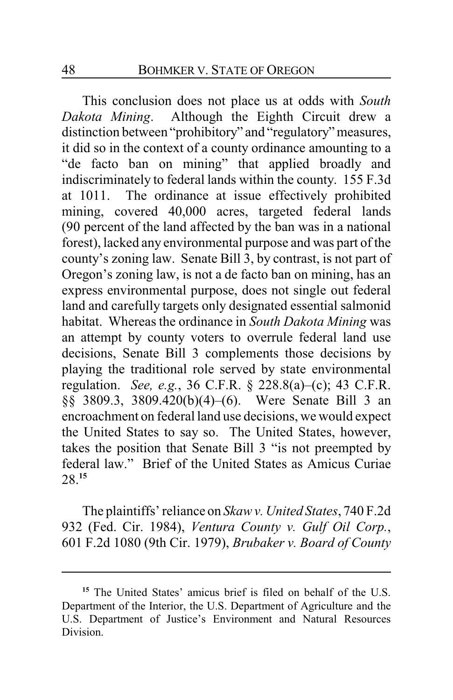This conclusion does not place us at odds with *South Dakota Mining*. Although the Eighth Circuit drew a distinction between "prohibitory" and "regulatory" measures, it did so in the context of a county ordinance amounting to a "de facto ban on mining" that applied broadly and indiscriminately to federal lands within the county. 155 F.3d at 1011. The ordinance at issue effectively prohibited mining, covered 40,000 acres, targeted federal lands (90 percent of the land affected by the ban was in a national forest), lacked any environmental purpose and was part of the county's zoning law. Senate Bill 3, by contrast, is not part of Oregon's zoning law, is not a de facto ban on mining, has an express environmental purpose, does not single out federal land and carefully targets only designated essential salmonid habitat. Whereas the ordinance in *South Dakota Mining* was an attempt by county voters to overrule federal land use decisions, Senate Bill 3 complements those decisions by playing the traditional role served by state environmental regulation. *See, e.g.*, 36 C.F.R. § 228.8(a)–(c); 43 C.F.R. §§ 3809.3, 3809.420(b)(4)–(6). Were Senate Bill 3 an encroachment on federal land use decisions, we would expect the United States to say so. The United States, however, takes the position that Senate Bill 3 "is not preempted by federal law." Brief of the United States as Amicus Curiae 28.**<sup>15</sup>**

The plaintiffs' reliance on *Skaw v. United States*, 740 F.2d 932 (Fed. Cir. 1984), *Ventura County v. Gulf Oil Corp.*, 601 F.2d 1080 (9th Cir. 1979), *Brubaker v. Board of County*

**<sup>15</sup>** The United States' amicus brief is filed on behalf of the U.S. Department of the Interior, the U.S. Department of Agriculture and the U.S. Department of Justice's Environment and Natural Resources Division.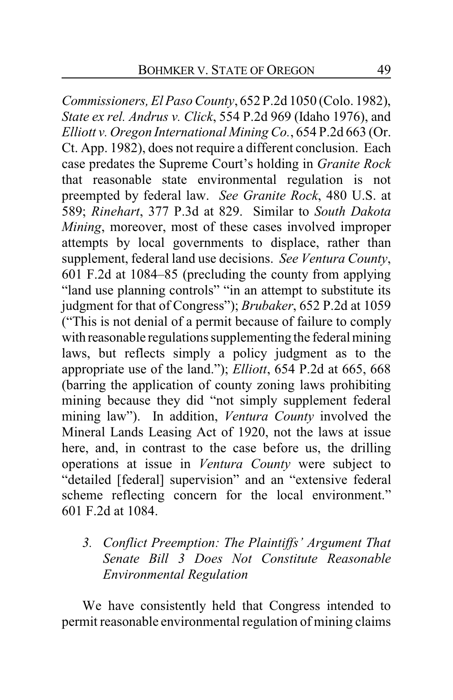*Commissioners, El Paso County*, 652 P.2d 1050 (Colo. 1982), *State ex rel. Andrus v. Click*, 554 P.2d 969 (Idaho 1976), and *Elliott v. Oregon International Mining Co.*, 654 P.2d 663 (Or. Ct. App. 1982), does not require a different conclusion. Each case predates the Supreme Court's holding in *Granite Rock* that reasonable state environmental regulation is not preempted by federal law. *See Granite Rock*, 480 U.S. at 589; *Rinehart*, 377 P.3d at 829. Similar to *South Dakota Mining*, moreover, most of these cases involved improper attempts by local governments to displace, rather than supplement, federal land use decisions. *See Ventura County*, 601 F.2d at 1084–85 (precluding the county from applying "land use planning controls" "in an attempt to substitute its judgment for that of Congress"); *Brubaker*, 652 P.2d at 1059 ("This is not denial of a permit because of failure to comply with reasonable regulations supplementing the federal mining laws, but reflects simply a policy judgment as to the appropriate use of the land."); *Elliott*, 654 P.2d at 665, 668 (barring the application of county zoning laws prohibiting mining because they did "not simply supplement federal mining law"). In addition, *Ventura County* involved the Mineral Lands Leasing Act of 1920, not the laws at issue here, and, in contrast to the case before us, the drilling operations at issue in *Ventura County* were subject to "detailed [federal] supervision" and an "extensive federal scheme reflecting concern for the local environment." 601 F.2d at 1084.

*3. Conflict Preemption: The Plaintiffs' Argument That Senate Bill 3 Does Not Constitute Reasonable Environmental Regulation*

We have consistently held that Congress intended to permit reasonable environmental regulation of mining claims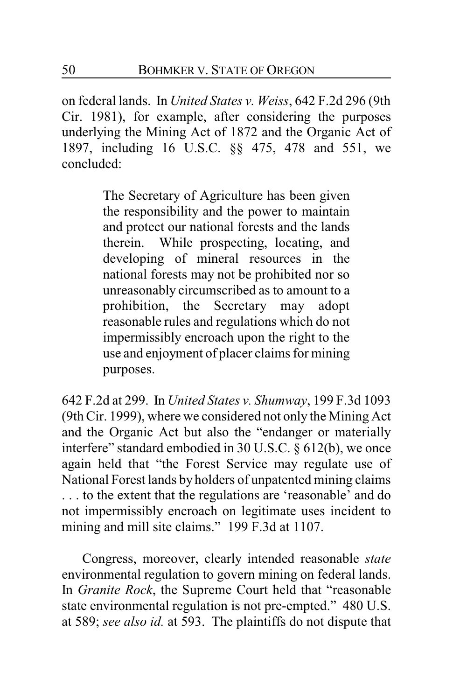on federal lands. In *United States v. Weiss*, 642 F.2d 296 (9th Cir. 1981), for example, after considering the purposes underlying the Mining Act of 1872 and the Organic Act of 1897, including 16 U.S.C. §§ 475, 478 and 551, we concluded:

> The Secretary of Agriculture has been given the responsibility and the power to maintain and protect our national forests and the lands therein. While prospecting, locating, and developing of mineral resources in the national forests may not be prohibited nor so unreasonably circumscribed as to amount to a prohibition, the Secretary may adopt reasonable rules and regulations which do not impermissibly encroach upon the right to the use and enjoyment of placer claims for mining purposes.

642 F.2d at 299. In *United States v. Shumway*, 199 F.3d 1093 (9th Cir. 1999), where we considered not only the Mining Act and the Organic Act but also the "endanger or materially interfere" standard embodied in 30 U.S.C. § 612(b), we once again held that "the Forest Service may regulate use of National Forest lands by holders of unpatented mining claims . . . to the extent that the regulations are 'reasonable' and do not impermissibly encroach on legitimate uses incident to mining and mill site claims." 199 F.3d at 1107.

Congress, moreover, clearly intended reasonable *state* environmental regulation to govern mining on federal lands. In *Granite Rock*, the Supreme Court held that "reasonable state environmental regulation is not pre-empted." 480 U.S. at 589; *see also id.* at 593. The plaintiffs do not dispute that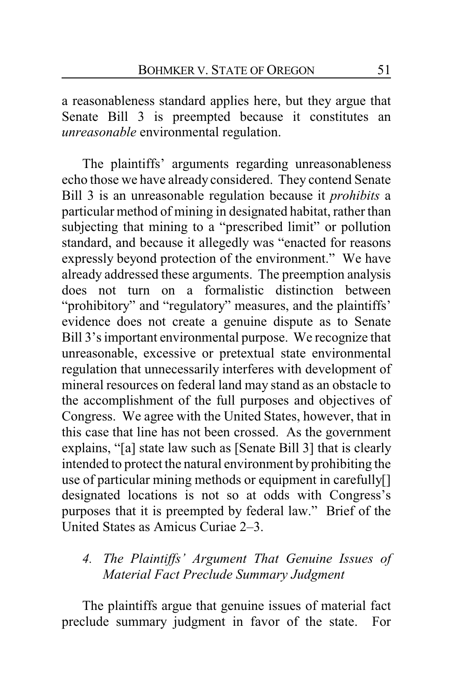a reasonableness standard applies here, but they argue that Senate Bill 3 is preempted because it constitutes an *unreasonable* environmental regulation.

The plaintiffs' arguments regarding unreasonableness echo those we have already considered. They contend Senate Bill 3 is an unreasonable regulation because it *prohibits* a particular method of mining in designated habitat, rather than subjecting that mining to a "prescribed limit" or pollution standard, and because it allegedly was "enacted for reasons expressly beyond protection of the environment." We have already addressed these arguments. The preemption analysis does not turn on a formalistic distinction between "prohibitory" and "regulatory" measures, and the plaintiffs' evidence does not create a genuine dispute as to Senate Bill 3's important environmental purpose. We recognize that unreasonable, excessive or pretextual state environmental regulation that unnecessarily interferes with development of mineral resources on federal land may stand as an obstacle to the accomplishment of the full purposes and objectives of Congress. We agree with the United States, however, that in this case that line has not been crossed. As the government explains, "[a] state law such as [Senate Bill 3] that is clearly intended to protect the natural environment by prohibiting the use of particular mining methods or equipment in carefully[] designated locations is not so at odds with Congress's purposes that it is preempted by federal law." Brief of the United States as Amicus Curiae 2–3.

# *4. The Plaintiffs' Argument That Genuine Issues of Material Fact Preclude Summary Judgment*

The plaintiffs argue that genuine issues of material fact preclude summary judgment in favor of the state. For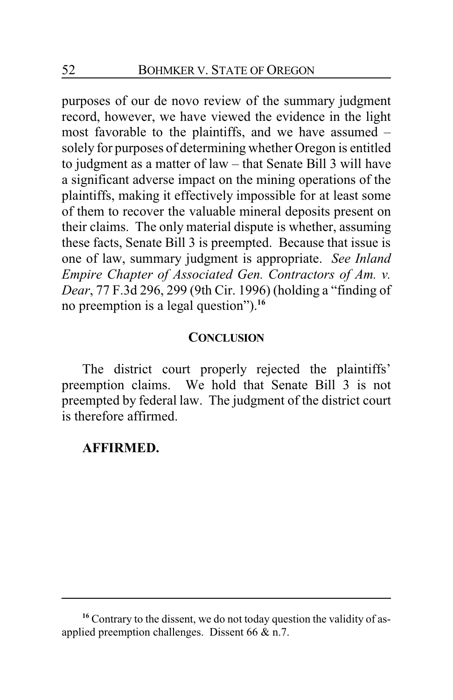purposes of our de novo review of the summary judgment record, however, we have viewed the evidence in the light most favorable to the plaintiffs, and we have assumed – solely for purposes of determining whether Oregon is entitled to judgment as a matter of law – that Senate Bill 3 will have a significant adverse impact on the mining operations of the plaintiffs, making it effectively impossible for at least some of them to recover the valuable mineral deposits present on their claims. The only material dispute is whether, assuming these facts, Senate Bill 3 is preempted. Because that issue is one of law, summary judgment is appropriate. *See Inland Empire Chapter of Associated Gen. Contractors of Am. v. Dear*, 77 F.3d 296, 299 (9th Cir. 1996) (holding a "finding of no preemption is a legal question").**<sup>16</sup>**

### **CONCLUSION**

The district court properly rejected the plaintiffs' preemption claims. We hold that Senate Bill 3 is not preempted by federal law. The judgment of the district court is therefore affirmed.

#### **AFFIRMED.**

<sup>&</sup>lt;sup>16</sup> Contrary to the dissent, we do not today question the validity of asapplied preemption challenges. Dissent 66 & n.7.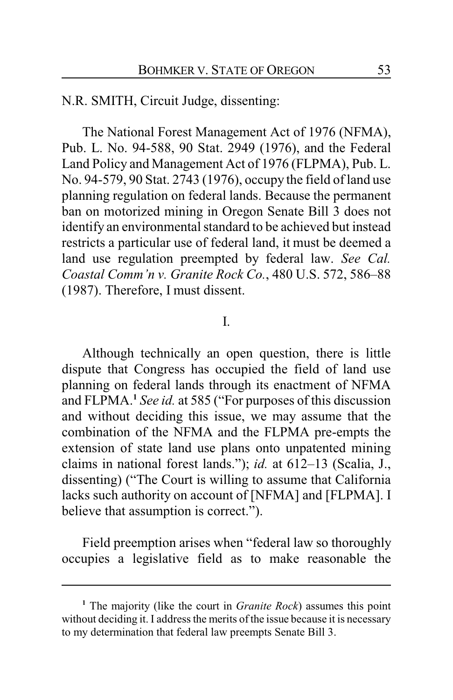N.R. SMITH, Circuit Judge, dissenting:

The National Forest Management Act of 1976 (NFMA), Pub. L. No. 94-588, 90 Stat. 2949 (1976), and the Federal Land Policy and Management Act of 1976 (FLPMA), Pub. L. No. 94-579, 90 Stat. 2743 (1976), occupy the field of land use planning regulation on federal lands. Because the permanent ban on motorized mining in Oregon Senate Bill 3 does not identify an environmental standard to be achieved but instead restricts a particular use of federal land, it must be deemed a land use regulation preempted by federal law. *See Cal. Coastal Comm'n v. Granite Rock Co.*, 480 U.S. 572, 586–88 (1987). Therefore, I must dissent.

### I.

Although technically an open question, there is little dispute that Congress has occupied the field of land use planning on federal lands through its enactment of NFMA and FLPMA.**<sup>1</sup>** *See id.* at 585 ("For purposes of this discussion and without deciding this issue, we may assume that the combination of the NFMA and the FLPMA pre-empts the extension of state land use plans onto unpatented mining claims in national forest lands."); *id.* at 612–13 (Scalia, J., dissenting) ("The Court is willing to assume that California lacks such authority on account of [NFMA] and [FLPMA]. I believe that assumption is correct.").

Field preemption arises when "federal law so thoroughly occupies a legislative field as to make reasonable the

**<sup>1</sup>** The majority (like the court in *Granite Rock*) assumes this point without deciding it. I address the merits of the issue because it is necessary to my determination that federal law preempts Senate Bill 3.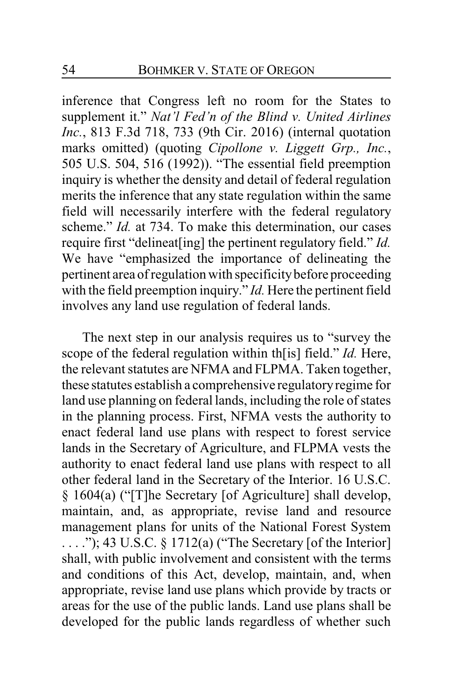inference that Congress left no room for the States to supplement it." *Nat'l Fed'n of the Blind v. United Airlines Inc.*, 813 F.3d 718, 733 (9th Cir. 2016) (internal quotation marks omitted) (quoting *Cipollone v. Liggett Grp., Inc.*, 505 U.S. 504, 516 (1992)). "The essential field preemption inquiry is whether the density and detail of federal regulation merits the inference that any state regulation within the same field will necessarily interfere with the federal regulatory scheme." *Id.* at 734. To make this determination, our cases require first "delineat[ing] the pertinent regulatory field." *Id.* We have "emphasized the importance of delineating the pertinent area of regulation with specificity before proceeding with the field preemption inquiry." *Id.* Here the pertinent field involves any land use regulation of federal lands.

The next step in our analysis requires us to "survey the scope of the federal regulation within th[is] field." *Id.* Here, the relevant statutes are NFMA and FLPMA. Taken together, these statutes establish a comprehensive regulatoryregime for land use planning on federal lands, including the role of states in the planning process. First, NFMA vests the authority to enact federal land use plans with respect to forest service lands in the Secretary of Agriculture, and FLPMA vests the authority to enact federal land use plans with respect to all other federal land in the Secretary of the Interior. 16 U.S.C. § 1604(a) ("[T]he Secretary [of Agriculture] shall develop, maintain, and, as appropriate, revise land and resource management plans for units of the National Forest System  $\dots$ "); 43 U.S.C. § 1712(a) ("The Secretary [of the Interior] shall, with public involvement and consistent with the terms and conditions of this Act, develop, maintain, and, when appropriate, revise land use plans which provide by tracts or areas for the use of the public lands. Land use plans shall be developed for the public lands regardless of whether such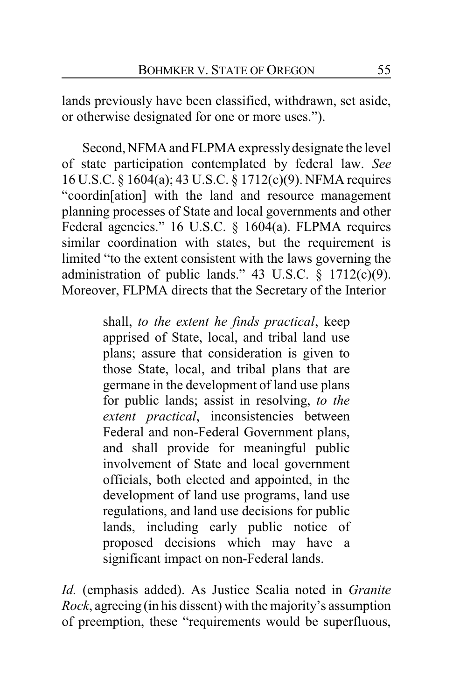lands previously have been classified, withdrawn, set aside, or otherwise designated for one or more uses.").

Second, NFMA and FLPMA expresslydesignate the level of state participation contemplated by federal law. *See* 16 U.S.C. § 1604(a); 43 U.S.C. § 1712(c)(9). NFMA requires "coordin[ation] with the land and resource management planning processes of State and local governments and other Federal agencies." 16 U.S.C. § 1604(a). FLPMA requires similar coordination with states, but the requirement is limited "to the extent consistent with the laws governing the administration of public lands." 43 U.S.C.  $\S$  1712(c)(9). Moreover, FLPMA directs that the Secretary of the Interior

> shall, *to the extent he finds practical*, keep apprised of State, local, and tribal land use plans; assure that consideration is given to those State, local, and tribal plans that are germane in the development of land use plans for public lands; assist in resolving, *to the extent practical*, inconsistencies between Federal and non-Federal Government plans, and shall provide for meaningful public involvement of State and local government officials, both elected and appointed, in the development of land use programs, land use regulations, and land use decisions for public lands, including early public notice of proposed decisions which may have a significant impact on non-Federal lands.

*Id.* (emphasis added). As Justice Scalia noted in *Granite Rock*, agreeing (in his dissent) with the majority's assumption of preemption, these "requirements would be superfluous,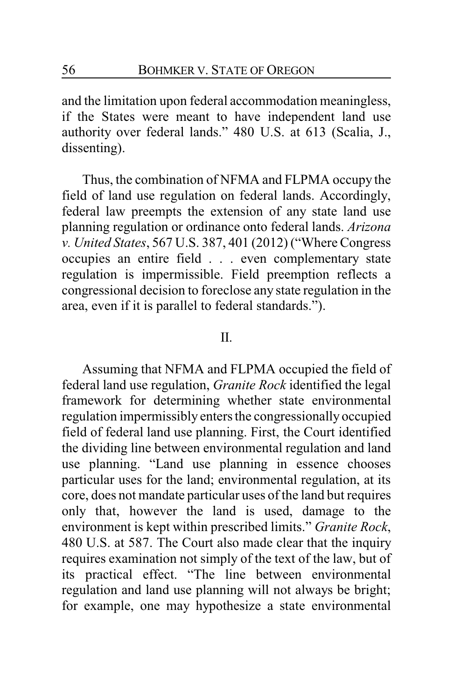and the limitation upon federal accommodation meaningless, if the States were meant to have independent land use authority over federal lands." 480 U.S. at 613 (Scalia, J., dissenting).

Thus, the combination of NFMA and FLPMA occupy the field of land use regulation on federal lands. Accordingly, federal law preempts the extension of any state land use planning regulation or ordinance onto federal lands. *Arizona v. United States*, 567 U.S. 387, 401 (2012) ("Where Congress occupies an entire field . . . even complementary state regulation is impermissible. Field preemption reflects a congressional decision to foreclose any state regulation in the area, even if it is parallel to federal standards.").

### II.

Assuming that NFMA and FLPMA occupied the field of federal land use regulation, *Granite Rock* identified the legal framework for determining whether state environmental regulation impermissibly enters the congressionally occupied field of federal land use planning. First, the Court identified the dividing line between environmental regulation and land use planning. "Land use planning in essence chooses particular uses for the land; environmental regulation, at its core, does not mandate particular uses of the land but requires only that, however the land is used, damage to the environment is kept within prescribed limits." *Granite Rock*, 480 U.S. at 587. The Court also made clear that the inquiry requires examination not simply of the text of the law, but of its practical effect. "The line between environmental regulation and land use planning will not always be bright; for example, one may hypothesize a state environmental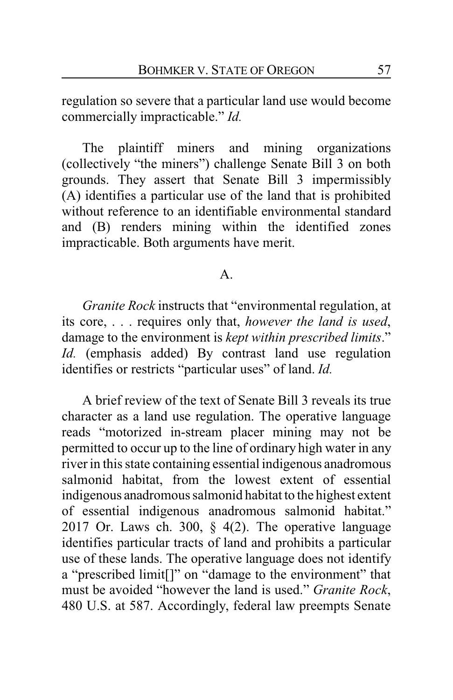regulation so severe that a particular land use would become commercially impracticable." *Id.*

The plaintiff miners and mining organizations (collectively "the miners") challenge Senate Bill 3 on both grounds. They assert that Senate Bill 3 impermissibly (A) identifies a particular use of the land that is prohibited without reference to an identifiable environmental standard and (B) renders mining within the identified zones impracticable. Both arguments have merit.

### A.

*Granite Rock* instructs that "environmental regulation, at its core, . . . requires only that, *however the land is used*, damage to the environment is *kept within prescribed limits*." *Id.* (emphasis added) By contrast land use regulation identifies or restricts "particular uses" of land. *Id.*

A brief review of the text of Senate Bill 3 reveals its true character as a land use regulation. The operative language reads "motorized in-stream placer mining may not be permitted to occur up to the line of ordinary high water in any river in this state containing essential indigenous anadromous salmonid habitat, from the lowest extent of essential indigenous anadromous salmonid habitat to the highest extent of essential indigenous anadromous salmonid habitat." 2017 Or. Laws ch. 300,  $\S$  4(2). The operative language identifies particular tracts of land and prohibits a particular use of these lands. The operative language does not identify a "prescribed limit[]" on "damage to the environment" that must be avoided "however the land is used." *Granite Rock*, 480 U.S. at 587. Accordingly, federal law preempts Senate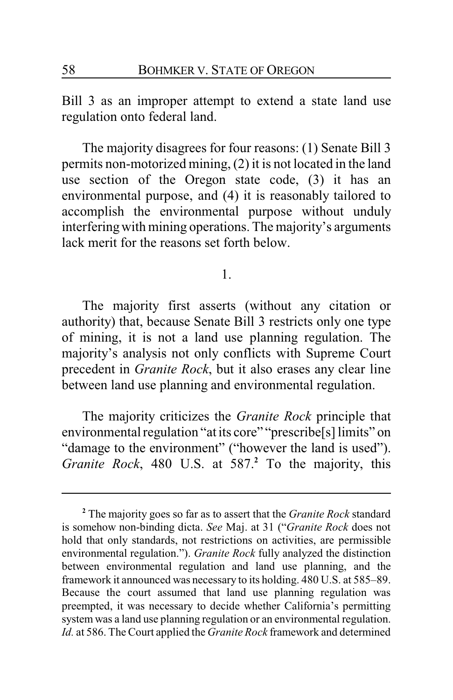Bill 3 as an improper attempt to extend a state land use regulation onto federal land.

The majority disagrees for four reasons: (1) Senate Bill 3 permits non-motorized mining, (2) it is not located in the land use section of the Oregon state code, (3) it has an environmental purpose, and (4) it is reasonably tailored to accomplish the environmental purpose without unduly interferingwith mining operations. The majority's arguments lack merit for the reasons set forth below.

1.

The majority first asserts (without any citation or authority) that, because Senate Bill 3 restricts only one type of mining, it is not a land use planning regulation. The majority's analysis not only conflicts with Supreme Court precedent in *Granite Rock*, but it also erases any clear line between land use planning and environmental regulation.

The majority criticizes the *Granite Rock* principle that environmental regulation "at its core" "prescribe[s] limits" on "damage to the environment" ("however the land is used"). *Granite Rock*, 480 U.S. at 587.**<sup>2</sup>** To the majority, this

**<sup>2</sup>** The majority goes so far as to assert that the *Granite Rock* standard is somehow non-binding dicta. *See* Maj. at 31 ("*Granite Rock* does not hold that only standards, not restrictions on activities, are permissible environmental regulation."). *Granite Rock* fully analyzed the distinction between environmental regulation and land use planning, and the framework it announced was necessary to its holding. 480 U.S. at 585–89. Because the court assumed that land use planning regulation was preempted, it was necessary to decide whether California's permitting system was a land use planning regulation or an environmental regulation. *Id.* at 586. The Court applied the *Granite Rock* framework and determined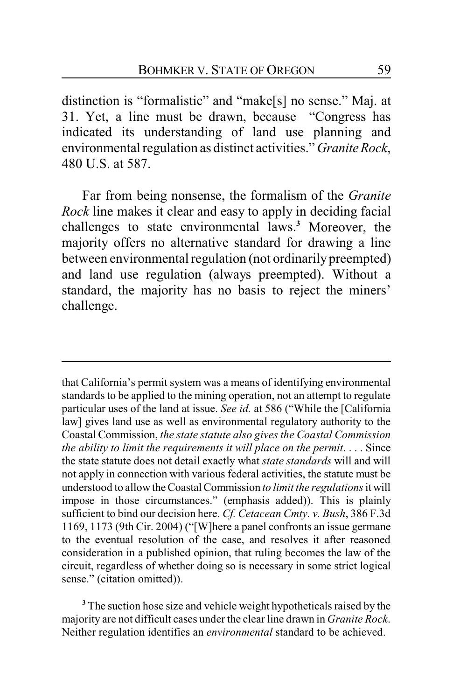distinction is "formalistic" and "make[s] no sense." Maj. at 31. Yet, a line must be drawn, because "Congress has indicated its understanding of land use planning and environmental regulation as distinct activities." *GraniteRock*, 480 U.S. at 587.

Far from being nonsense, the formalism of the *Granite Rock* line makes it clear and easy to apply in deciding facial challenges to state environmental laws.**<sup>3</sup>** Moreover, the majority offers no alternative standard for drawing a line between environmental regulation (not ordinarily preempted) and land use regulation (always preempted). Without a standard, the majority has no basis to reject the miners' challenge.

that California's permit system was a means of identifying environmental standards to be applied to the mining operation, not an attempt to regulate particular uses of the land at issue. *See id.* at 586 ("While the [California law] gives land use as well as environmental regulatory authority to the Coastal Commission, *the state statute also gives the Coastal Commission the ability to limit the requirements it will place on the permit*. . . . Since the state statute does not detail exactly what *state standards* will and will not apply in connection with various federal activities, the statute must be understood to allowthe Coastal Commission *to limit the regulations* it will impose in those circumstances." (emphasis added)). This is plainly sufficient to bind our decision here. *Cf. Cetacean Cmty. v. Bush*, 386 F.3d 1169, 1173 (9th Cir. 2004) ("[W]here a panel confronts an issue germane to the eventual resolution of the case, and resolves it after reasoned consideration in a published opinion, that ruling becomes the law of the circuit, regardless of whether doing so is necessary in some strict logical sense." (citation omitted)).

**<sup>3</sup>** The suction hose size and vehicle weight hypotheticals raised by the majority are not difficult cases under the clear line drawn in *Granite Rock*. Neither regulation identifies an *environmental* standard to be achieved.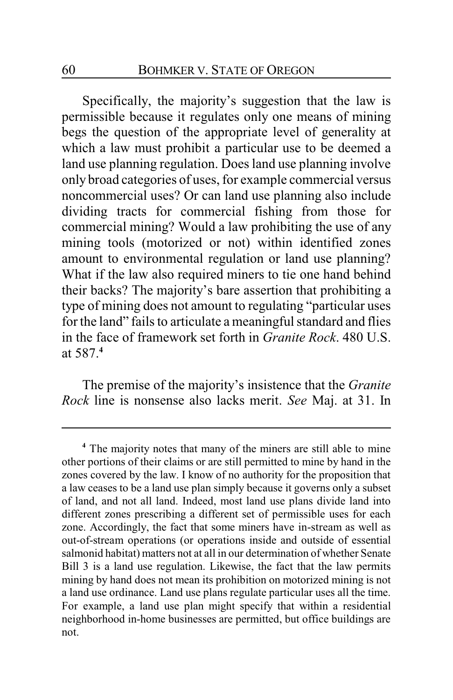Specifically, the majority's suggestion that the law is permissible because it regulates only one means of mining begs the question of the appropriate level of generality at which a law must prohibit a particular use to be deemed a land use planning regulation. Does land use planning involve only broad categories of uses, for example commercial versus noncommercial uses? Or can land use planning also include dividing tracts for commercial fishing from those for commercial mining? Would a law prohibiting the use of any mining tools (motorized or not) within identified zones amount to environmental regulation or land use planning? What if the law also required miners to tie one hand behind their backs? The majority's bare assertion that prohibiting a type of mining does not amount to regulating "particular uses for the land" fails to articulate a meaningful standard and flies in the face of framework set forth in *Granite Rock*. 480 U.S. at 587.**<sup>4</sup>**

The premise of the majority's insistence that the *Granite Rock* line is nonsense also lacks merit. *See* Maj. at 31. In

**<sup>4</sup>** The majority notes that many of the miners are still able to mine other portions of their claims or are still permitted to mine by hand in the zones covered by the law. I know of no authority for the proposition that a law ceases to be a land use plan simply because it governs only a subset of land, and not all land. Indeed, most land use plans divide land into different zones prescribing a different set of permissible uses for each zone. Accordingly, the fact that some miners have in-stream as well as out-of-stream operations (or operations inside and outside of essential salmonid habitat) matters not at all in our determination of whether Senate Bill 3 is a land use regulation. Likewise, the fact that the law permits mining by hand does not mean its prohibition on motorized mining is not a land use ordinance. Land use plans regulate particular uses all the time. For example, a land use plan might specify that within a residential neighborhood in-home businesses are permitted, but office buildings are not.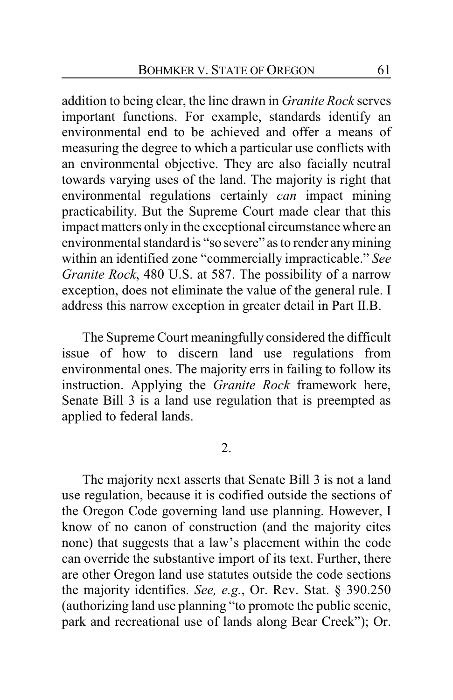addition to being clear, the line drawn in *Granite Rock* serves important functions. For example, standards identify an environmental end to be achieved and offer a means of measuring the degree to which a particular use conflicts with an environmental objective. They are also facially neutral towards varying uses of the land. The majority is right that environmental regulations certainly *can* impact mining practicability. But the Supreme Court made clear that this impact matters only in the exceptional circumstance where an environmental standard is "so severe" as to render anymining within an identified zone "commercially impracticable." *See Granite Rock*, 480 U.S. at 587. The possibility of a narrow exception, does not eliminate the value of the general rule. I address this narrow exception in greater detail in Part II.B.

The Supreme Court meaningfully considered the difficult issue of how to discern land use regulations from environmental ones. The majority errs in failing to follow its instruction. Applying the *Granite Rock* framework here, Senate Bill 3 is a land use regulation that is preempted as applied to federal lands.

### 2.

The majority next asserts that Senate Bill 3 is not a land use regulation, because it is codified outside the sections of the Oregon Code governing land use planning. However, I know of no canon of construction (and the majority cites none) that suggests that a law's placement within the code can override the substantive import of its text. Further, there are other Oregon land use statutes outside the code sections the majority identifies. *See, e.g.*, Or. Rev. Stat. § 390.250 (authorizing land use planning "to promote the public scenic, park and recreational use of lands along Bear Creek"); Or.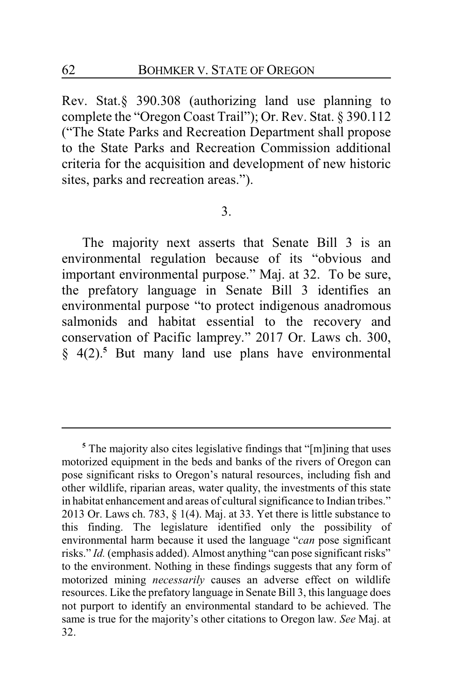Rev. Stat.§ 390.308 (authorizing land use planning to complete the "Oregon Coast Trail"); Or. Rev. Stat. § 390.112 ("The State Parks and Recreation Department shall propose to the State Parks and Recreation Commission additional criteria for the acquisition and development of new historic sites, parks and recreation areas.").

### 3.

The majority next asserts that Senate Bill 3 is an environmental regulation because of its "obvious and important environmental purpose." Maj. at 32. To be sure, the prefatory language in Senate Bill 3 identifies an environmental purpose "to protect indigenous anadromous salmonids and habitat essential to the recovery and conservation of Pacific lamprey." 2017 Or. Laws ch. 300, § 4(2).**<sup>5</sup>** But many land use plans have environmental

<sup>&</sup>lt;sup>5</sup> The majority also cites legislative findings that "[m]ining that uses motorized equipment in the beds and banks of the rivers of Oregon can pose significant risks to Oregon's natural resources, including fish and other wildlife, riparian areas, water quality, the investments of this state in habitat enhancement and areas of cultural significance to Indian tribes." 2013 Or. Laws ch. 783,  $\S$  1(4). Maj. at 33. Yet there is little substance to this finding. The legislature identified only the possibility of environmental harm because it used the language "*can* pose significant risks." *Id.* (emphasis added). Almost anything "can pose significant risks" to the environment. Nothing in these findings suggests that any form of motorized mining *necessarily* causes an adverse effect on wildlife resources. Like the prefatory language in Senate Bill 3, this language does not purport to identify an environmental standard to be achieved. The same is true for the majority's other citations to Oregon law. *See* Maj. at 32.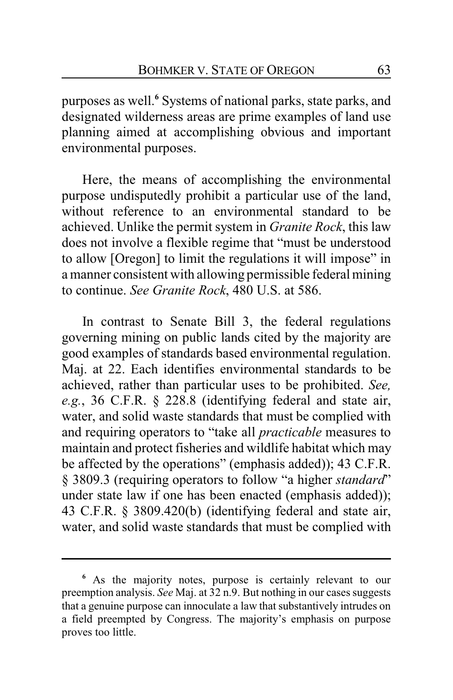purposes as well.**<sup>6</sup>** Systems of national parks, state parks, and designated wilderness areas are prime examples of land use planning aimed at accomplishing obvious and important environmental purposes.

Here, the means of accomplishing the environmental purpose undisputedly prohibit a particular use of the land, without reference to an environmental standard to be achieved. Unlike the permit system in *Granite Rock*, this law does not involve a flexible regime that "must be understood to allow [Oregon] to limit the regulations it will impose" in a manner consistent with allowing permissible federal mining to continue. *See Granite Rock*, 480 U.S. at 586.

In contrast to Senate Bill 3, the federal regulations governing mining on public lands cited by the majority are good examples of standards based environmental regulation. Maj. at 22. Each identifies environmental standards to be achieved, rather than particular uses to be prohibited. *See, e.g.*, 36 C.F.R. § 228.8 (identifying federal and state air, water, and solid waste standards that must be complied with and requiring operators to "take all *practicable* measures to maintain and protect fisheries and wildlife habitat which may be affected by the operations" (emphasis added)); 43 C.F.R. § 3809.3 (requiring operators to follow "a higher *standard*" under state law if one has been enacted (emphasis added)); 43 C.F.R. § 3809.420(b) (identifying federal and state air, water, and solid waste standards that must be complied with

**<sup>6</sup>** As the majority notes, purpose is certainly relevant to our preemption analysis. *See* Maj. at 32 n.9. But nothing in our cases suggests that a genuine purpose can innoculate a law that substantively intrudes on a field preempted by Congress. The majority's emphasis on purpose proves too little.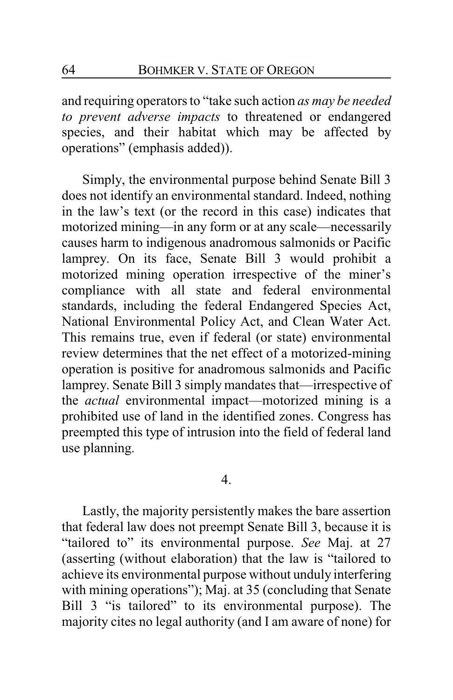and requiring operators to "take such action *as may be needed to prevent adverse impacts* to threatened or endangered species, and their habitat which may be affected by operations" (emphasis added)).

Simply, the environmental purpose behind Senate Bill 3 does not identify an environmental standard. Indeed, nothing in the law's text (or the record in this case) indicates that motorized mining—in any form or at any scale—necessarily causes harm to indigenous anadromous salmonids or Pacific lamprey. On its face, Senate Bill 3 would prohibit a motorized mining operation irrespective of the miner's compliance with all state and federal environmental standards, including the federal Endangered Species Act, National Environmental Policy Act, and Clean Water Act. This remains true, even if federal (or state) environmental review determines that the net effect of a motorized-mining operation is positive for anadromous salmonids and Pacific lamprey. Senate Bill 3 simply mandates that—irrespective of the *actual* environmental impact—motorized mining is a prohibited use of land in the identified zones. Congress has preempted this type of intrusion into the field of federal land use planning.

#### 4.

Lastly, the majority persistently makes the bare assertion that federal law does not preempt Senate Bill 3, because it is "tailored to" its environmental purpose. *See* Maj. at 27 (asserting (without elaboration) that the law is "tailored to achieve its environmental purpose without unduly interfering with mining operations"); Maj. at 35 (concluding that Senate Bill 3 "is tailored" to its environmental purpose). The majority cites no legal authority (and I am aware of none) for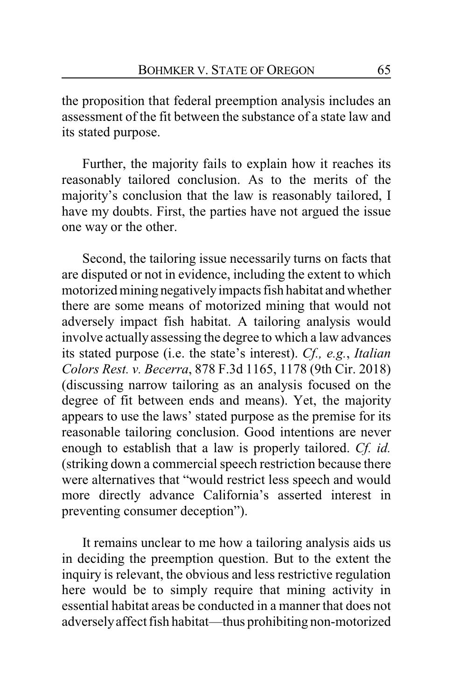the proposition that federal preemption analysis includes an assessment of the fit between the substance of a state law and its stated purpose.

Further, the majority fails to explain how it reaches its reasonably tailored conclusion. As to the merits of the majority's conclusion that the law is reasonably tailored, I have my doubts. First, the parties have not argued the issue one way or the other.

Second, the tailoring issue necessarily turns on facts that are disputed or not in evidence, including the extent to which motorized mining negativelyimpacts fish habitat and whether there are some means of motorized mining that would not adversely impact fish habitat. A tailoring analysis would involve actually assessing the degree to which a law advances its stated purpose (i.e. the state's interest). *Cf., e.g.*, *Italian Colors Rest. v. Becerra*, 878 F.3d 1165, 1178 (9th Cir. 2018) (discussing narrow tailoring as an analysis focused on the degree of fit between ends and means). Yet, the majority appears to use the laws' stated purpose as the premise for its reasonable tailoring conclusion. Good intentions are never enough to establish that a law is properly tailored. *Cf. id.* (striking down a commercial speech restriction because there were alternatives that "would restrict less speech and would more directly advance California's asserted interest in preventing consumer deception").

It remains unclear to me how a tailoring analysis aids us in deciding the preemption question. But to the extent the inquiry is relevant, the obvious and less restrictive regulation here would be to simply require that mining activity in essential habitat areas be conducted in a manner that does not adverselyaffect fish habitat—thus prohibiting non-motorized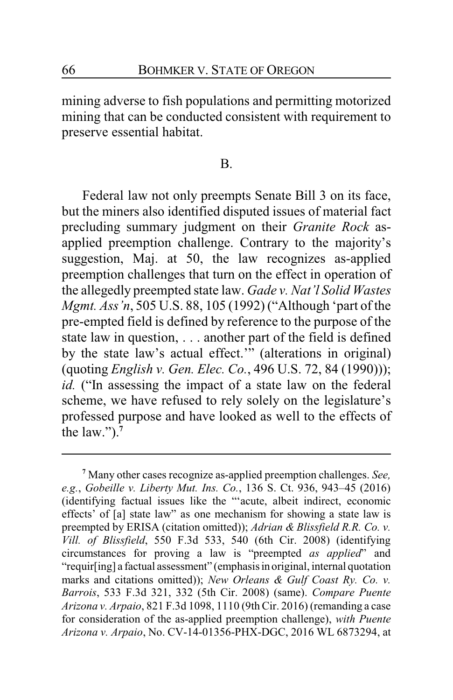mining adverse to fish populations and permitting motorized mining that can be conducted consistent with requirement to preserve essential habitat.

#### B.

Federal law not only preempts Senate Bill 3 on its face, but the miners also identified disputed issues of material fact precluding summary judgment on their *Granite Rock* asapplied preemption challenge. Contrary to the majority's suggestion, Maj. at 50, the law recognizes as-applied preemption challenges that turn on the effect in operation of the allegedly preempted state law. *Gade v. Nat'l Solid Wastes Mgmt. Ass'n*, 505 U.S. 88, 105 (1992) ("Although 'part of the pre-empted field is defined by reference to the purpose of the state law in question, . . . another part of the field is defined by the state law's actual effect.'" (alterations in original) (quoting *English v. Gen. Elec. Co.*, 496 U.S. 72, 84 (1990))); *id.* ("In assessing the impact of a state law on the federal scheme, we have refused to rely solely on the legislature's professed purpose and have looked as well to the effects of the law." $)^{7}$ 

**<sup>7</sup>** Many other cases recognize as-applied preemption challenges. *See, e.g.*, *Gobeille v. Liberty Mut. Ins. Co.*, 136 S. Ct. 936, 943–45 (2016) (identifying factual issues like the "'acute, albeit indirect, economic effects' of [a] state law" as one mechanism for showing a state law is preempted by ERISA (citation omitted)); *Adrian & Blissfield R.R. Co. v. Vill. of Blissfield*, 550 F.3d 533, 540 (6th Cir. 2008) (identifying circumstances for proving a law is "preempted *as applied*" and "requir[ing] a factual assessment" (emphasis in original, internal quotation marks and citations omitted)); *New Orleans & Gulf Coast Ry. Co. v. Barrois*, 533 F.3d 321, 332 (5th Cir. 2008) (same). *Compare Puente Arizona v. Arpaio*, 821 F.3d 1098, 1110 (9thCir. 2016) (remanding a case for consideration of the as-applied preemption challenge), *with Puente Arizona v. Arpaio*, No. CV-14-01356-PHX-DGC, 2016 WL 6873294, at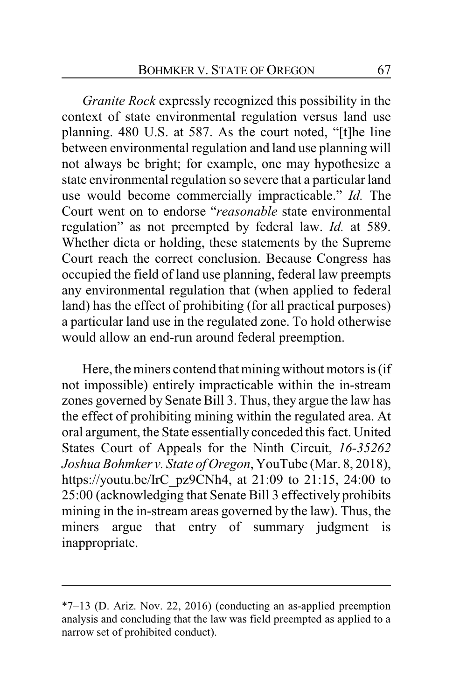*Granite Rock* expressly recognized this possibility in the context of state environmental regulation versus land use planning. 480 U.S. at 587. As the court noted, "[t]he line between environmental regulation and land use planning will not always be bright; for example, one may hypothesize a state environmental regulation so severe that a particular land use would become commercially impracticable." *Id.* The Court went on to endorse "*reasonable* state environmental regulation" as not preempted by federal law. *Id.* at 589. Whether dicta or holding, these statements by the Supreme Court reach the correct conclusion. Because Congress has occupied the field of land use planning, federal law preempts any environmental regulation that (when applied to federal land) has the effect of prohibiting (for all practical purposes) a particular land use in the regulated zone. To hold otherwise would allow an end-run around federal preemption.

Here, the miners contend that mining without motors is (if not impossible) entirely impracticable within the in-stream zones governed by Senate Bill 3. Thus, they argue the law has the effect of prohibiting mining within the regulated area. At oral argument, the State essentially conceded this fact. United States Court of Appeals for the Ninth Circuit, *16-35262 Joshua Bohmker v. State of Oregon*, YouTube (Mar. 8, 2018), https://youtu.be/IrC\_pz9CNh4, at 21:09 to 21:15, 24:00 to 25:00 (acknowledging that Senate Bill 3 effectively prohibits mining in the in-stream areas governed by the law). Thus, the miners argue that entry of summary judgment is inappropriate.

<sup>\*7–13 (</sup>D. Ariz. Nov. 22, 2016) (conducting an as-applied preemption analysis and concluding that the law was field preempted as applied to a narrow set of prohibited conduct).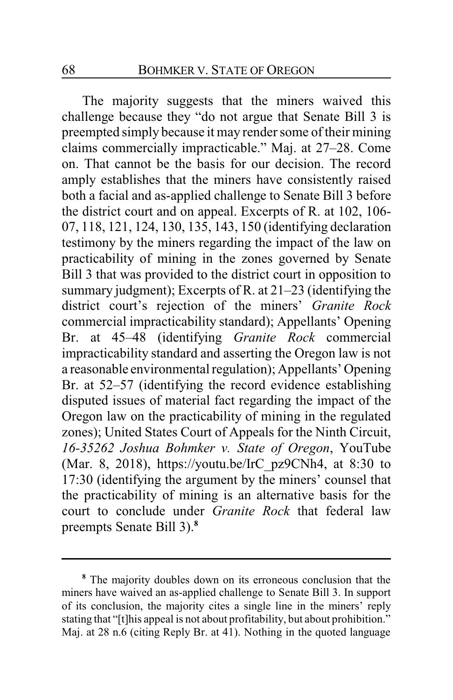The majority suggests that the miners waived this challenge because they "do not argue that Senate Bill 3 is preempted simply because it may render some of their mining claims commercially impracticable." Maj. at 27–28. Come on. That cannot be the basis for our decision. The record amply establishes that the miners have consistently raised both a facial and as-applied challenge to Senate Bill 3 before the district court and on appeal. Excerpts of R. at 102, 106- 07, 118, 121, 124, 130, 135, 143, 150 (identifying declaration testimony by the miners regarding the impact of the law on practicability of mining in the zones governed by Senate Bill 3 that was provided to the district court in opposition to summary judgment); Excerpts of R. at 21–23 (identifying the district court's rejection of the miners' *Granite Rock* commercial impracticability standard); Appellants' Opening Br. at 45–48 (identifying *Granite Rock* commercial impracticability standard and asserting the Oregon law is not a reasonable environmental regulation); Appellants' Opening Br. at 52–57 (identifying the record evidence establishing disputed issues of material fact regarding the impact of the Oregon law on the practicability of mining in the regulated zones); United States Court of Appeals for the Ninth Circuit, *16-35262 Joshua Bohmker v. State of Oregon*, YouTube (Mar. 8, 2018), https://youtu.be/IrC\_pz9CNh4, at 8:30 to 17:30 (identifying the argument by the miners' counsel that the practicability of mining is an alternative basis for the court to conclude under *Granite Rock* that federal law preempts Senate Bill 3).**<sup>8</sup>**

**<sup>8</sup>** The majority doubles down on its erroneous conclusion that the miners have waived an as-applied challenge to Senate Bill 3. In support of its conclusion, the majority cites a single line in the miners' reply stating that "[t]his appeal is not about profitability, but about prohibition." Maj. at 28 n.6 (citing Reply Br. at 41). Nothing in the quoted language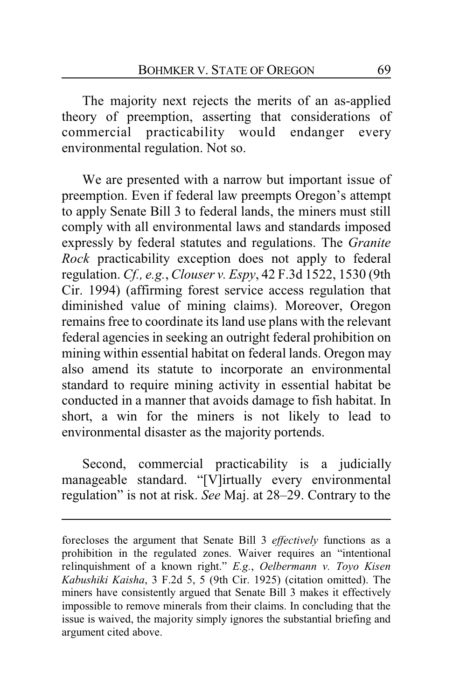The majority next rejects the merits of an as-applied theory of preemption, asserting that considerations of commercial practicability would endanger every environmental regulation. Not so.

We are presented with a narrow but important issue of preemption. Even if federal law preempts Oregon's attempt to apply Senate Bill 3 to federal lands, the miners must still comply with all environmental laws and standards imposed expressly by federal statutes and regulations. The *Granite Rock* practicability exception does not apply to federal regulation. *Cf., e.g.*, *Clouser v. Espy*, 42 F.3d 1522, 1530 (9th Cir. 1994) (affirming forest service access regulation that diminished value of mining claims). Moreover, Oregon remains free to coordinate its land use plans with the relevant federal agencies in seeking an outright federal prohibition on mining within essential habitat on federal lands. Oregon may also amend its statute to incorporate an environmental standard to require mining activity in essential habitat be conducted in a manner that avoids damage to fish habitat. In short, a win for the miners is not likely to lead to environmental disaster as the majority portends.

Second, commercial practicability is a judicially manageable standard. "[V]irtually every environmental regulation" is not at risk. *See* Maj. at 28–29. Contrary to the

forecloses the argument that Senate Bill 3 *effectively* functions as a prohibition in the regulated zones. Waiver requires an "intentional relinquishment of a known right." *E.g.*, *Oelbermann v. Toyo Kisen Kabushiki Kaisha*, 3 F.2d 5, 5 (9th Cir. 1925) (citation omitted). The miners have consistently argued that Senate Bill 3 makes it effectively impossible to remove minerals from their claims. In concluding that the issue is waived, the majority simply ignores the substantial briefing and argument cited above.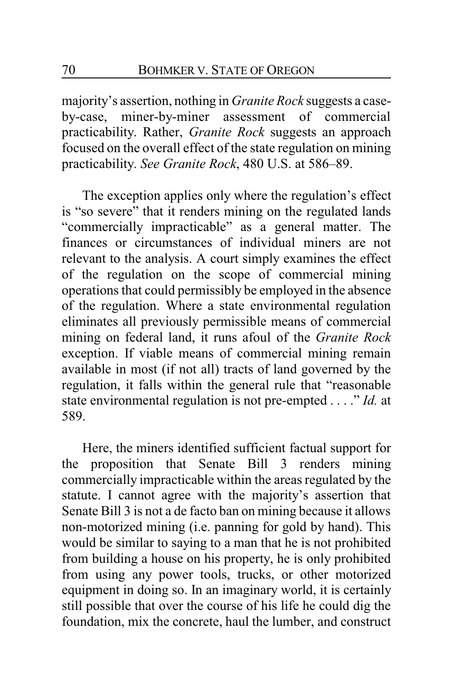majority's assertion, nothing in *Granite Rock* suggests a caseby-case, miner-by-miner assessment of commercial practicability. Rather, *Granite Rock* suggests an approach focused on the overall effect of the state regulation on mining practicability. *See Granite Rock*, 480 U.S. at 586–89.

The exception applies only where the regulation's effect is "so severe" that it renders mining on the regulated lands "commercially impracticable" as a general matter. The finances or circumstances of individual miners are not relevant to the analysis. A court simply examines the effect of the regulation on the scope of commercial mining operations that could permissibly be employed in the absence of the regulation. Where a state environmental regulation eliminates all previously permissible means of commercial mining on federal land, it runs afoul of the *Granite Rock* exception. If viable means of commercial mining remain available in most (if not all) tracts of land governed by the regulation, it falls within the general rule that "reasonable state environmental regulation is not pre-empted . . . ." *Id.* at 589.

Here, the miners identified sufficient factual support for the proposition that Senate Bill 3 renders mining commercially impracticable within the areas regulated by the statute. I cannot agree with the majority's assertion that Senate Bill 3 is not a de facto ban on mining because it allows non-motorized mining (i.e. panning for gold by hand). This would be similar to saying to a man that he is not prohibited from building a house on his property, he is only prohibited from using any power tools, trucks, or other motorized equipment in doing so. In an imaginary world, it is certainly still possible that over the course of his life he could dig the foundation, mix the concrete, haul the lumber, and construct